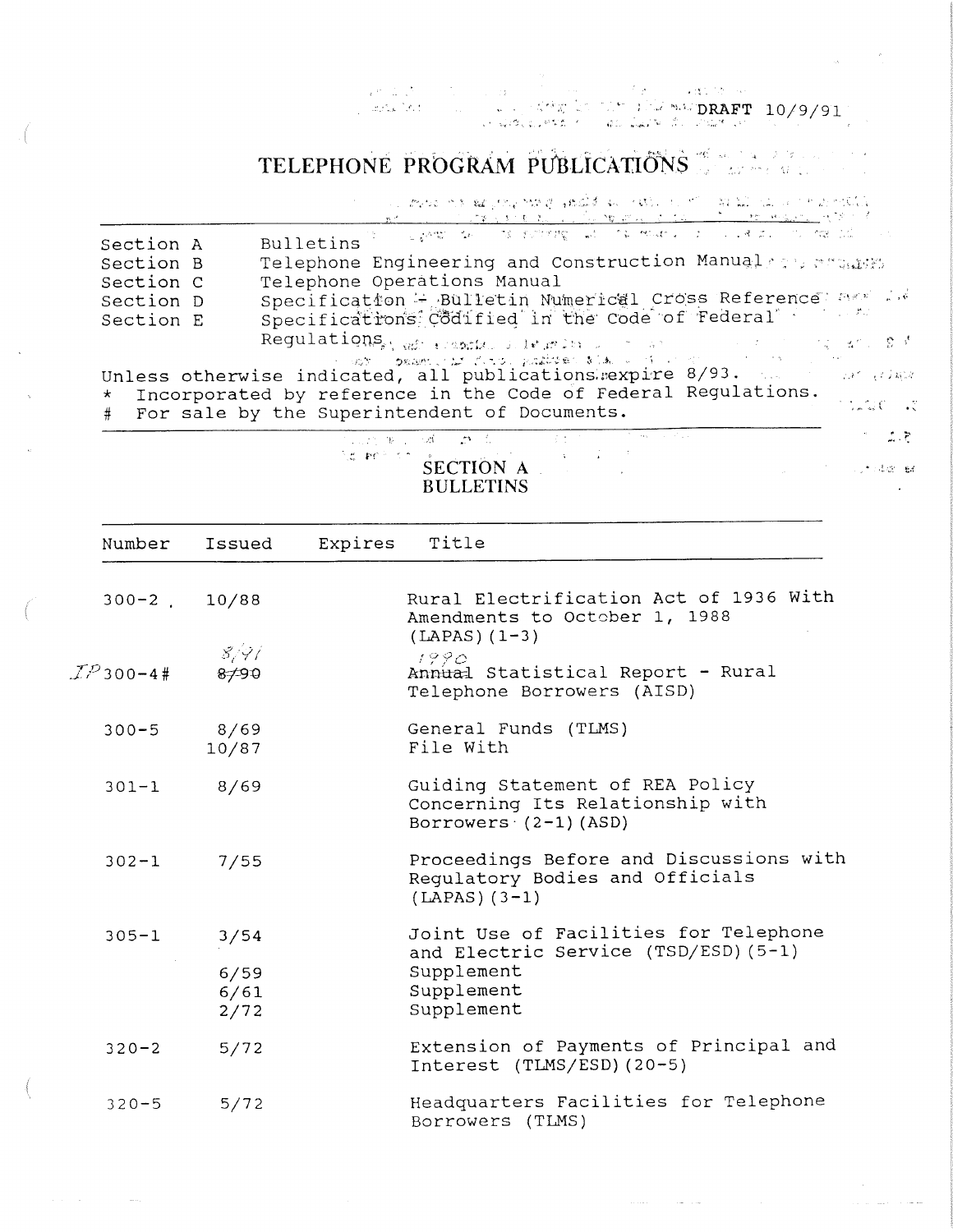' -, •. '°'.;' >- , • .. -:. , **:'~~.;.DRAFT** 10/9/91 ,, .. --• .. ·'

# **TELEPHONE PROGRAM PUBLICATIONS**

, A Monda de la Sela, A a la <sup>co</sup>rte de Alba de <mark>Mane, a anda política do adv</mark>erte.<br>El de Maneira de La Sela, a la Sela, a propia de A A Sela, a la Sela, a la Sela, a a la Sela, a la Sela.

 $\label{eq:1} \frac{\partial}{\partial x} \left( \frac{\partial}{\partial x} \right) = \frac{\partial}{\partial x} \left( \frac{\partial}{\partial x} \right)$ 

فحفت والمسامر والمراب

 $\mathcal{O}(\mathcal{O}(n^2))$  and  $\mathcal{O}(\mathcal{O}(n^2))$  and  $\mathcal{O}(\mathcal{O}(n^2))$  . The set of  $\mathcal{O}(\mathcal{O}(n^2))$ 

| Section A | Bulletins in the same in the second of the manuscript of the manuscript of                                        |
|-----------|-------------------------------------------------------------------------------------------------------------------|
| Section B | Telephone Engineering and Construction Manualsers wheats                                                          |
| Section C | Telephone Operations Manual                                                                                       |
| Section D | Specification - Bulletin Numerical Cross Reference assists                                                        |
| Section E | Specifications Codified in the code of Federal"                                                                   |
|           | $\texttt{Regulatingns}_{\texttt{min}}$ and remarks intractor is a second section of the second $\mathbb{S}^{(3)}$ |
|           | STORY DRAMS CAT CITY PRACTOR STATE of Control of Control Control Control                                          |
|           | Unless otherwise indicated, all publications.expire 8/93. The contractions                                        |
|           | * Incorporated by reference in the Code of Federal Regulations.                                                   |
|           | $7.120 - 3$<br># For sale by the Superintendent of Documents.                                                     |

| アルカン あしいつめい こびいない                     | 医水杨酸 医水杨酸 医水杨酸 医水杨酸 医阿斯特氏试验检胆汁 | .           |
|---------------------------------------|--------------------------------|-------------|
| <b>SECTION A</b><br><b>BIILLETINS</b> |                                | ್ಲಾರುತಿಯ ಕೊ |

| Number             | Issued                       | Expires | Title                                                                                                                   |
|--------------------|------------------------------|---------|-------------------------------------------------------------------------------------------------------------------------|
| $300 - 2$ 10/88    |                              |         | Rural Electrification Act of 1936 With<br>Amendments to October 1, 1988<br>$(LAPAS) (1-3)$                              |
| ${\cal IP}$ 300-4# | 8/97<br>8790                 |         | 1990<br>Annual Statistical Report - Rural<br>Telephone Borrowers (AISD)                                                 |
| $300 - 5$          | 8/69<br>10/87                |         | General Funds (TLMS)<br>File With                                                                                       |
| $301 - 1$ 8/69     |                              |         | Guiding Statement of REA Policy<br>Concerning Its Relationship with<br>Borrowers (2-1)(ASD)                             |
| $302 - 1$          | 7/55                         |         | Proceedings Before and Discussions with<br>Regulatory Bodies and Officials<br>$(LAPAS) (3-1)$                           |
| $305 - 1$          | 3/54<br>6/59<br>6/61<br>2/72 |         | Joint Use of Facilities for Telephone<br>and Electric Service (TSD/ESD) (5-1)<br>Supplement<br>Supplement<br>Supplement |
| $320 - 2$          | $5/72$                       |         | Extension of Payments of Principal and<br>Interest (TLMS/ESD) (20-5)                                                    |
| $320 - 5$          | 5/72                         |         | Headquarters Facilities for Telephone<br>Borrowers (TLMS)                                                               |

 $\label{eq:1} \mathcal{L}(\mathcal{A}) = \mathcal{L}(\mathcal{A}) = \mathcal{L}(\mathcal{A}) = \mathcal{L}(\mathcal{A})$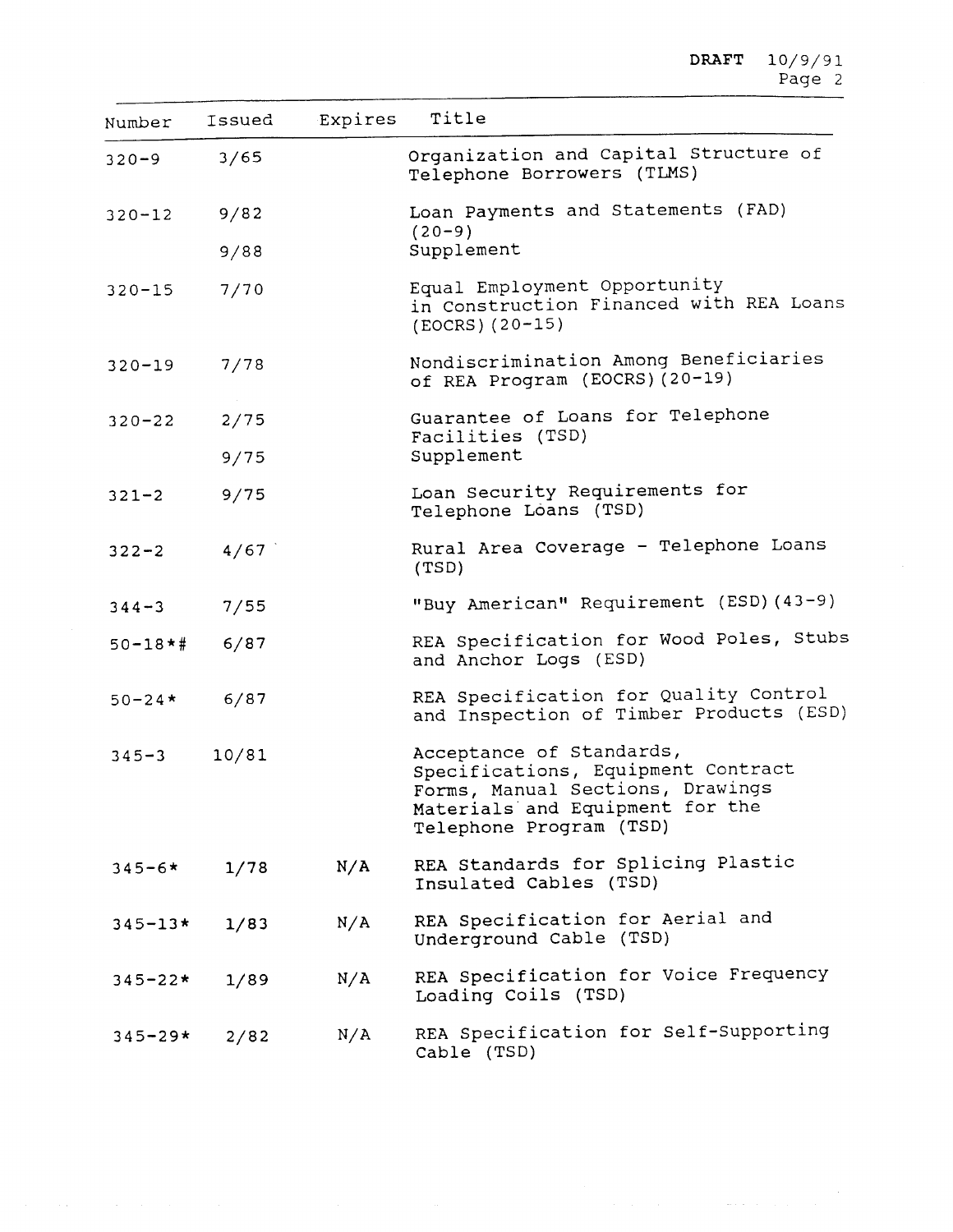| Number        | Issued | Expires | Title                                                                                                                                                            |
|---------------|--------|---------|------------------------------------------------------------------------------------------------------------------------------------------------------------------|
| $320 - 9$     | 3/65   |         | Organization and Capital Structure of<br>Telephone Borrowers (TLMS)                                                                                              |
| $320 - 12$    | 9/82   |         | Loan Payments and Statements (FAD)                                                                                                                               |
|               | 9/88   |         | $(20 - 9)$<br>Supplement                                                                                                                                         |
| $320 - 15$    | 7/70   |         | Equal Employment Opportunity<br>in Construction Financed with REA Loans<br>$(EOCRS) (20-15)$                                                                     |
| $320 - 19$    | 7/78   |         | Nondiscrimination Among Beneficiaries<br>of REA Program (EOCRS) (20-19)                                                                                          |
| $320 - 22$    | 2/75   |         | Guarantee of Loans for Telephone<br>Facilities (TSD)                                                                                                             |
|               | 9/75   |         | Supplement                                                                                                                                                       |
| $321 - 2$     | 9/75   |         | Loan Security Requirements for<br>Telephone Loans (TSD)                                                                                                          |
| $322 - 2$     | 4/67   |         | Rural Area Coverage - Telephone Loans<br>(TSD)                                                                                                                   |
| $344 - 3$     | 7/55   |         | "Buy American" Requirement (ESD) (43-9)                                                                                                                          |
| $50 - 18$ * # | 6/87   |         | REA Specification for Wood Poles, Stubs<br>and Anchor Logs (ESD)                                                                                                 |
| $50 - 24*$    | 6/87   |         | REA Specification for Quality Control<br>and Inspection of Timber Products (ESD)                                                                                 |
| $345 - 3$     | 10/81  |         | Acceptance of Standards,<br>Specifications, Equipment Contract<br>Forms, Manual Sections, Drawings<br>Materials and Equipment for the<br>Telephone Program (TSD) |
| $345 - 6*$    | 1/78   | N/A     | REA Standards for Splicing Plastic<br>Insulated Cables (TSD)                                                                                                     |
| $345 - 13*$   | 1/83   | N/A     | REA Specification for Aerial and<br>Underground Cable (TSD)                                                                                                      |
| $345 - 22*$   | 1/89   | N/A     | REA Specification for Voice Frequency<br>Loading Coils (TSD)                                                                                                     |
| $345 - 29*$   | 2/82   | N/A     | REA Specification for Self-Supporting<br>Cable (TSD)                                                                                                             |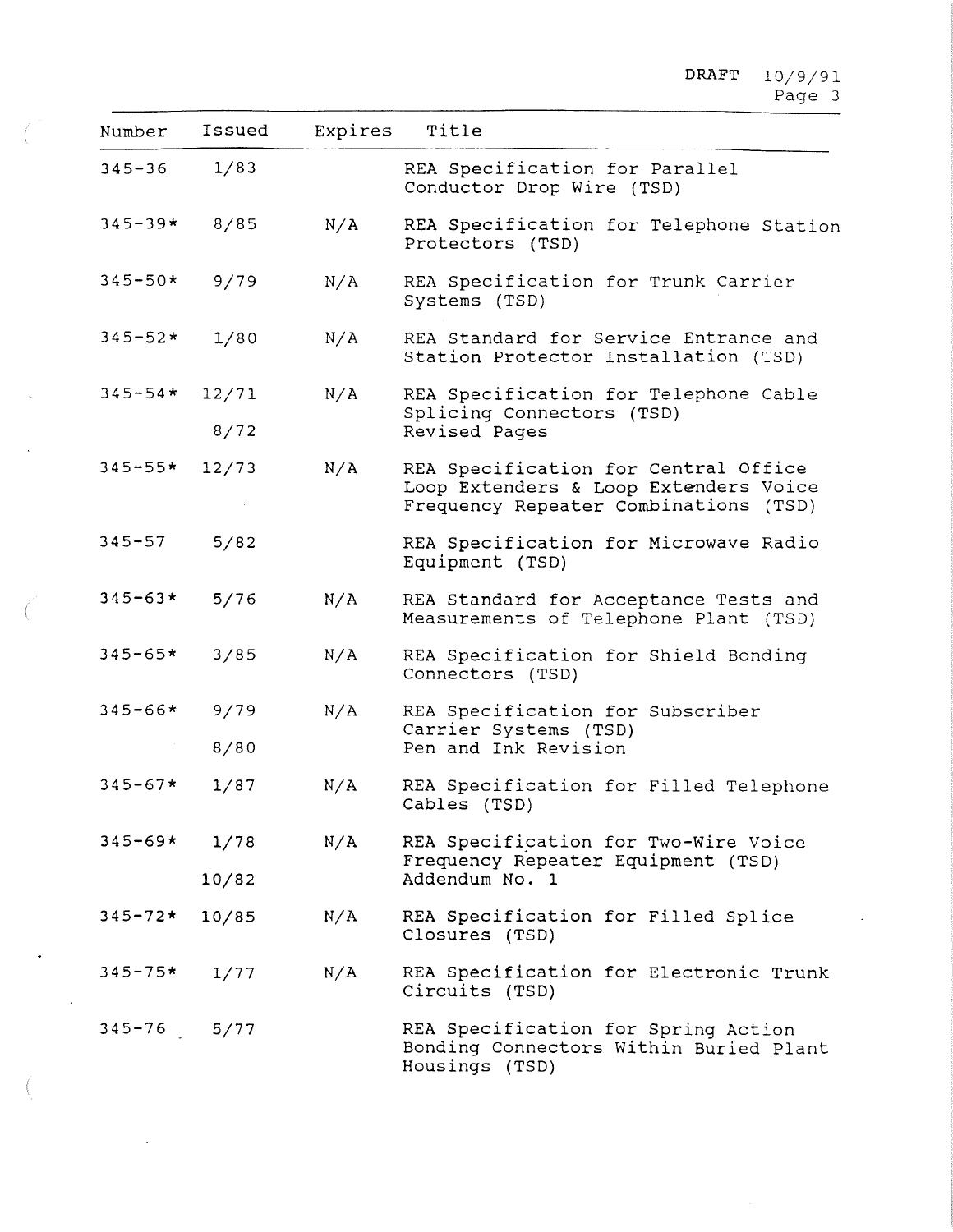## $\mathtt{DRAPT} = 10/9/9$ Page 3

| Number      | Issued | Expires | Title                                                                                           |
|-------------|--------|---------|-------------------------------------------------------------------------------------------------|
| $345 - 36$  | 1/83   |         | REA Specification for Parallel<br>Conductor Drop Wire (TSD)                                     |
| $345 - 39*$ | 8/85   | N/A     | REA Specification for Telephone Station<br>Protectors (TSD)                                     |
| $345 - 50*$ | 9/79   | N/A     | REA Specification for Trunk Carrier<br>Systems (TSD)                                            |
| $345 - 52*$ | 1/80   | N/A     | REA Standard for Service Entrance and<br>Station Protector Installation (TSD)                   |
| $345 - 54*$ | 12/71  | N/A     | REA Specification for Telephone Cable                                                           |
|             | 8/72   |         | Splicing Connectors (TSD)<br>Revised Pages                                                      |
| $345 - 55*$ | 12/73  | N/A     | REA Specification for Central Office                                                            |
|             |        |         | Loop Extenders & Loop Extenders Voice<br>Frequency Repeater Combinations (TSD)                  |
| $345 - 57$  | 5/82   |         | REA Specification for Microwave Radio<br>Equipment (TSD)                                        |
| $345 - 63*$ | 5/76   | N/A     | REA Standard for Acceptance Tests and<br>Measurements of Telephone Plant (TSD)                  |
| $345 - 65*$ | 3/85   | N/A     | REA Specification for Shield Bonding<br>Connectors (TSD)                                        |
| $345 - 66*$ | 9/79   | N/A     | REA Specification for Subscriber                                                                |
|             | 8/80   |         | Carrier Systems (TSD)<br>Pen and Ink Revision                                                   |
| $345 - 67*$ | 1/87   | N/A     | REA Specification for Filled Telephone<br>Cables (TSD)                                          |
| $345 - 69*$ | 1/78   | N/A     | REA Specification for Two-Wire Voice                                                            |
|             | 10/82  |         | Frequency Repeater Equipment (TSD)<br>Addendum No. 1                                            |
| $345 - 72*$ | 10/85  | N/A     | REA Specification for Filled Splice<br>Closures (TSD)                                           |
| $345 - 75*$ | 1/77   | N/A     | REA Specification for Electronic Trunk<br>Circuits (TSD)                                        |
| $345 - 76$  | 5/77   |         | REA Specification for Spring Action<br>Bonding Connectors Within Buried Plant<br>Housings (TSD) |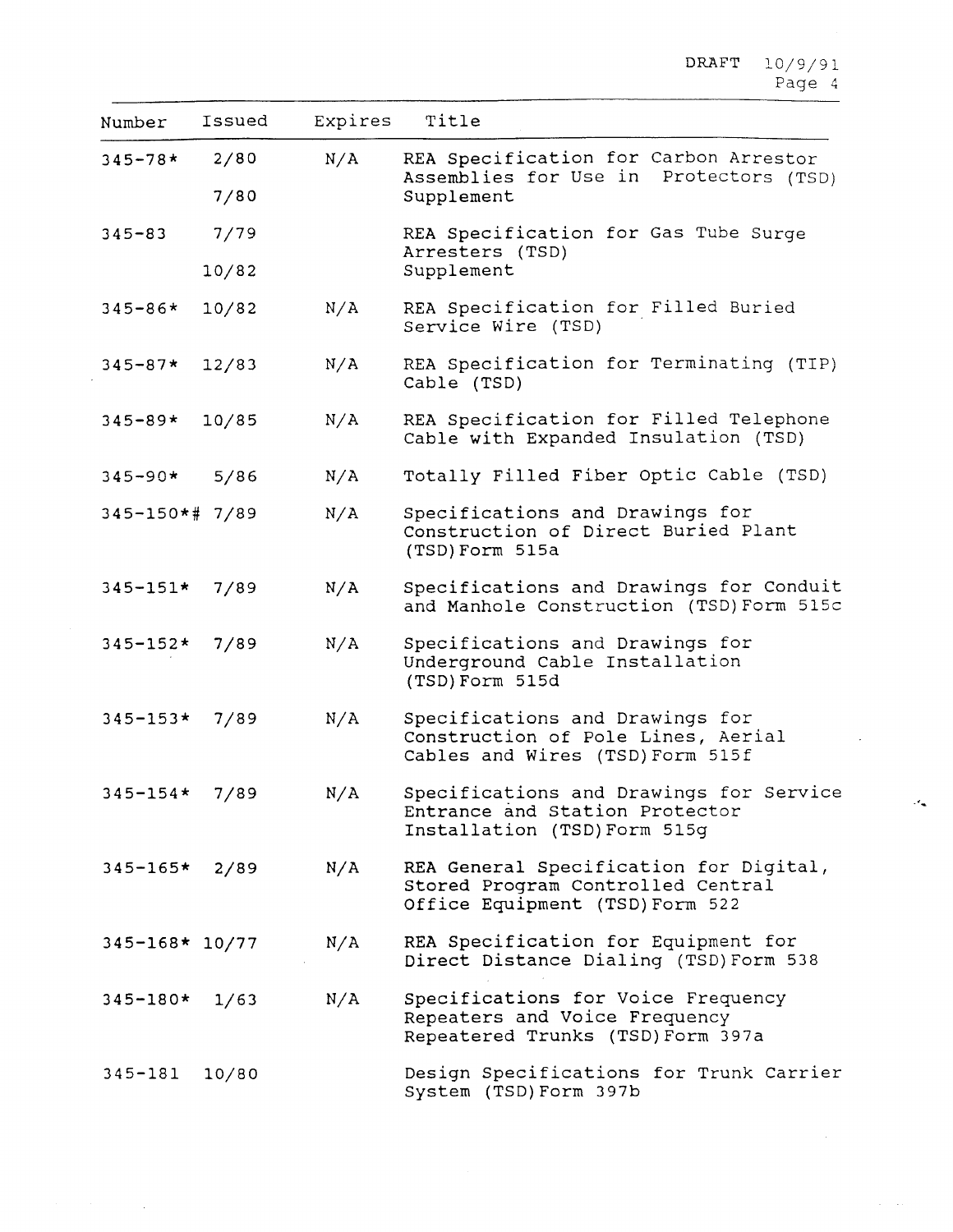| Number             | Issued       | Expires | Title                                                                                                          |
|--------------------|--------------|---------|----------------------------------------------------------------------------------------------------------------|
| $345 - 78$ *       | 2/80<br>7/80 | N/A     | REA Specification for Carbon Arrestor<br>Assemblies for Use in Protectors (TSD)<br>Supplement                  |
| $345 - 83$         | 7/79         |         | REA Specification for Gas Tube Surge<br>Arresters (TSD)                                                        |
|                    | 10/82        |         | Supplement                                                                                                     |
| $345 - 86*$        | 10/82        | N/A     | REA Specification for Filled Buried<br>Service Wire (TSD)                                                      |
| $345 - 87*$        | 12/83        | N/A     | REA Specification for Terminating (TIP)<br>Cable (TSD)                                                         |
| $345 - 89*$        | 10/85        | N/A     | REA Specification for Filled Telephone<br>Cable with Expanded Insulation (TSD)                                 |
| $345 - 90*$        | 5/86         | N/A     | Totally Filled Fiber Optic Cable (TSD)                                                                         |
| 345-150*# 7/89     |              | N/A     | Specifications and Drawings for<br>Construction of Direct Buried Plant<br>(TSD) Form 515a                      |
| $345 - 151*$       | 7/89         | N/A     | Specifications and Drawings for Conduit<br>and Manhole Construction (TSD) Form 515c                            |
| $345 - 152*$       | 7/89         | N/A     | Specifications and Drawings for<br>Underground Cable Installation<br>(TSD) Form 515d                           |
| $345 - 153*$       | 7/89         | N/A     | Specifications and Drawings for<br>Construction of Pole Lines, Aerial<br>Cables and Wires (TSD) Form 515f      |
| $345 - 154*$       | 7/89         | N/A     | Specifications and Drawings for Service<br>Entrance and Station Protector<br>Installation (TSD) Form 515g      |
| $345 - 165$ * 2/89 |              | N/A     | REA General Specification for Digital,<br>Stored Program Controlled Central<br>Office Equipment (TSD) Form 522 |
| 345-168* 10/77     |              | N/A     | REA Specification for Equipment for<br>Direct Distance Dialing (TSD) Form 538                                  |
| $345 - 180*$ 1/63  |              | N/A     | Specifications for Voice Frequency<br>Repeaters and Voice Frequency<br>Repeatered Trunks (TSD) Form 397a       |
| $345 - 181$        | 10/80        |         | Design Specifications for Trunk Carrier<br>System (TSD) Form 397b                                              |

 $\label{eq:2} \mathcal{F}(\mathcal{F}) = \mathcal{F}(\mathcal{F}) \otimes \mathcal{F}(\mathcal{F}) \otimes \mathcal{F}(\mathcal{F})$ 

 $\mathcal{A}_{\mathbf{m}}$ 

 $\mathcal{A}=\mathcal{A}(\mathcal{A})$ 

 $\epsilon$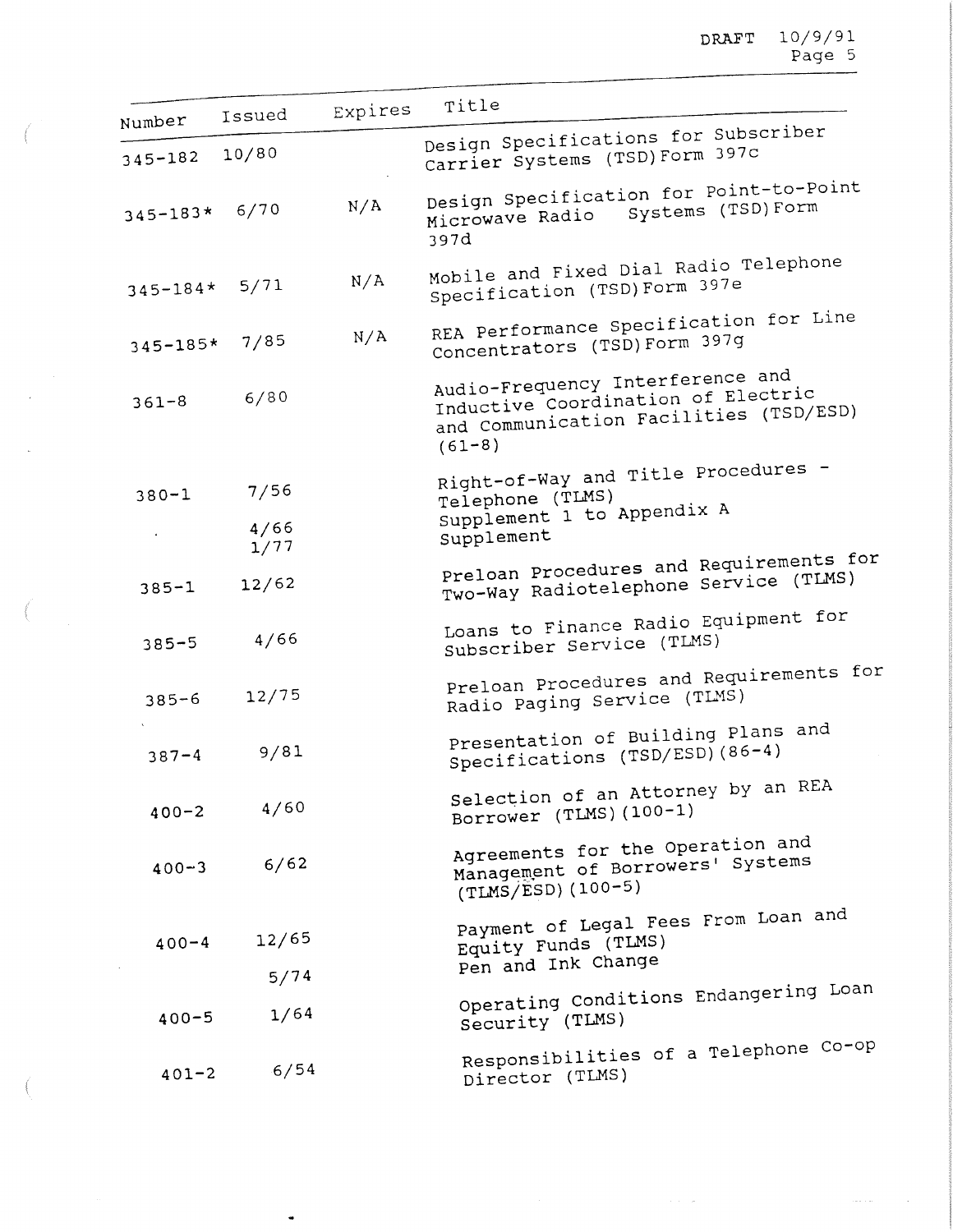| Number            | Issued       | Expires | Title                                                                                                                          |
|-------------------|--------------|---------|--------------------------------------------------------------------------------------------------------------------------------|
| $345 - 182$       | 10/80        |         | Design Specifications for Subscriber<br>Carrier Systems (TSD) Form 397c                                                        |
| $345 - 183* 6/70$ |              | N/A     | Design Specification for Point-to-Point<br>Microwave Radio Systems (TSD) Form<br>397d                                          |
| $345 - 184*$      | 5/71         | N/A     | Mobile and Fixed Dial Radio Telephone<br>Specification (TSD) Form 397e                                                         |
| $345 - 185*$      | 7/85         | N/A     | REA Performance Specification for Line<br>Concentrators (TSD) Form 397g                                                        |
| $361 - 8$         | 6/80         |         | Audio-Frequency Interference and<br>Inductive Coordination of Electric<br>and Communication Facilities (TSD/ESD)<br>$(61 - 8)$ |
| $380 - 1$         | 7/56<br>4/66 |         | Right-of-Way and Title Procedures -<br>Telephone (TLMS)<br>Supplement 1 to Appendix A                                          |
|                   | 1/77         |         | Supplement                                                                                                                     |
| $385 - 1$         | 12/62        |         | Preloan Procedures and Requirements for<br>Two-Way Radiotelephone Service (TLMS)                                               |
| $385 - 5$         | 4/66         |         | Loans to Finance Radio Equipment for<br>Subscriber Service (TLMS)                                                              |
| $385 - 6$         | 12/75        |         | Preloan Procedures and Requirements for<br>Radio Paging Service (TIMS)                                                         |
| $387 - 4$         | 9/81         |         | Presentation of Building Plans and<br>Specifications (TSD/ESD) (86-4)                                                          |
| $400 - 2$         | 4/60         |         | Selection of an Attorney by an REA<br>Borrower (TLMS) (100-1)                                                                  |
| $400 - 3$         | 6/62         |         | Agreements for the Operation and<br>Management of Borrowers' Systems<br>$(TIMS/ESD) (100-5)$                                   |
| $400 - 4$         | 12/65        |         | Payment of Legal Fees From Loan and<br>Equity Funds (TLMS)                                                                     |
|                   | 5/74         |         | Pen and Ink Change                                                                                                             |
| $400 - 5$         | 1/64         |         | Operating Conditions Endangering Loan<br>Security (TLMS)                                                                       |
| $401 - 2$         | 6/54         |         | Responsibilities of a Telephone Co-op<br>Director (TLMS)                                                                       |

 $\epsilon \rightarrow - \infty$  .

 $\ldots$  .

 $\label{eq:1} \int_{\mathbb{R}^{d}} \left\vert \int_{\mathbb{R}^{d}} \left\vert \int_{\mathbb{R}^{d}} \left\vert \int_{\mathbb{R}^{d}} \left\vert \int_{\mathbb{R}^{d}} \left\vert \int_{\mathbb{R}^{d}} \left\vert \int_{\mathbb{R}^{d}} \left\vert \int_{\mathbb{R}^{d}} \left\vert \int_{\mathbb{R}^{d}} \left\vert \int_{\mathbb{R}^{d}} \left\vert \int_{\mathbb{R}^{d}} \left\vert \int_{\mathbb{R}^{d}} \left\vert \int_{\mathbb{R}^{d}} \left\vert \int_{\math$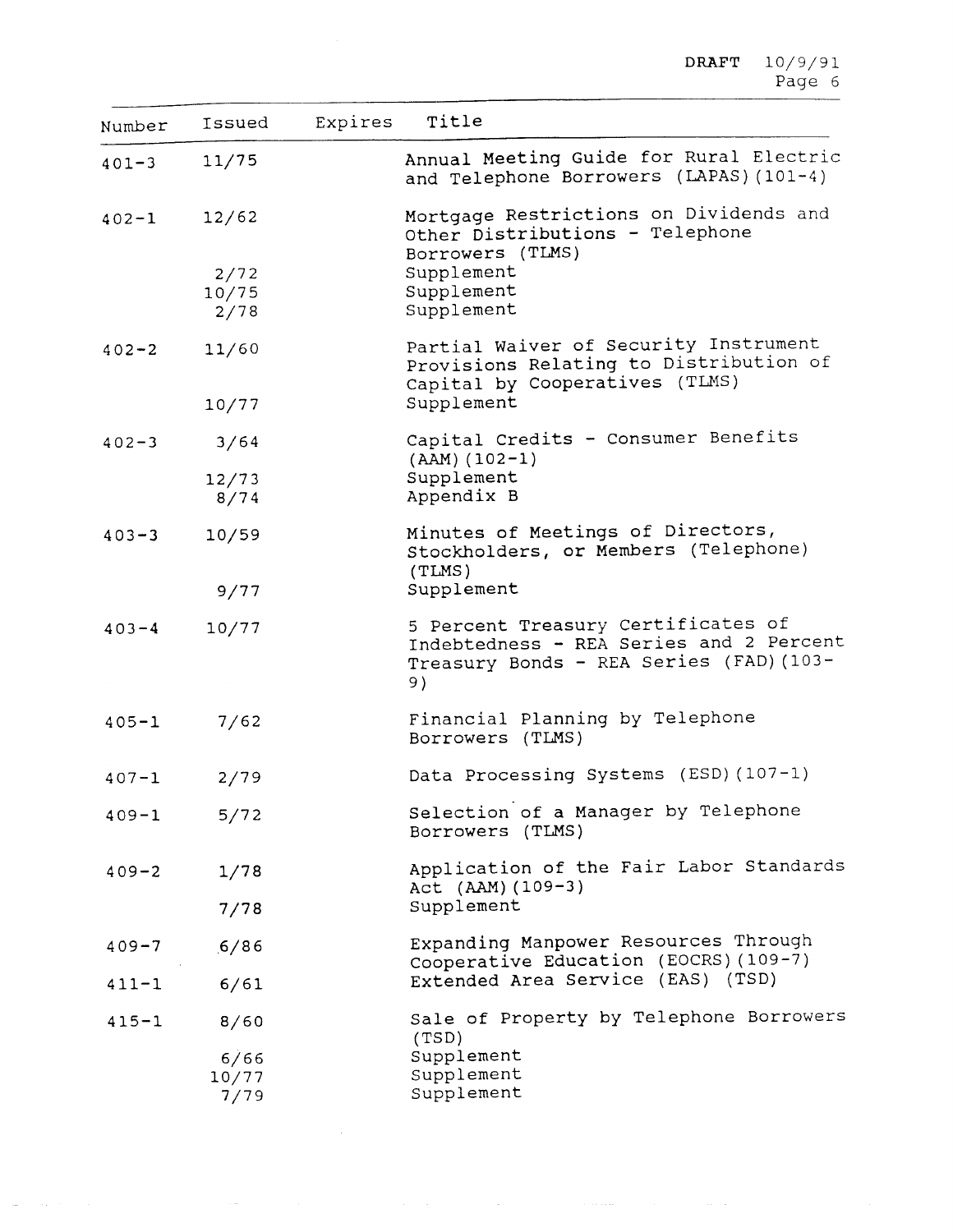$\texttt{DRAPT} = 10/9/9$ Page <sup>6</sup>

| Number    | Issued | Expires | Title                                                                                                                          |
|-----------|--------|---------|--------------------------------------------------------------------------------------------------------------------------------|
| $401 - 3$ | 11/75  |         | Annual Meeting Guide for Rural Electric<br>and Telephone Borrowers (LAPAS) (101-4)                                             |
| $402 - 1$ | 12/62  |         | Mortgage Restrictions on Dividends and<br>Other Distributions - Telephone<br>Borrowers (TLMS)                                  |
|           | 2/72   |         | Supplement                                                                                                                     |
|           | 10/75  |         | Supplement                                                                                                                     |
|           | 2/78   |         | Supplement                                                                                                                     |
| $402 - 2$ | 11/60  |         | Partial Waiver of Security Instrument<br>Provisions Relating to Distribution of<br>Capital by Cooperatives (TLMS)              |
|           | 10/77  |         | Supplement                                                                                                                     |
| $402 - 3$ | 3/64   |         | Capital Credits - Consumer Benefits<br>$(AAM) (102-1)$                                                                         |
|           | 12/73  |         | Supplement                                                                                                                     |
|           | 8/74   |         | Appendix B                                                                                                                     |
| $403 - 3$ | 10/59  |         | Minutes of Meetings of Directors,<br>Stockholders, or Members (Telephone)<br>(TLMS)                                            |
|           | 9/77   |         | Supplement                                                                                                                     |
| $403 - 4$ | 10/77  |         | 5 Percent Treasury Certificates of<br>Indebtedness - REA Series and 2 Percent<br>Treasury Bonds - REA Series (FAD) (103-<br>9) |
| $405 - 1$ | 7/62   |         | Financial Planning by Telephone<br>Borrowers (TLMS)                                                                            |
| $407 - 1$ | 2/79   |         | Data Processing Systems (ESD) (107-1)                                                                                          |
| $409 - 1$ | 5/72   |         | Selection of a Manager by Telephone<br>Borrowers (TLMS)                                                                        |
| $409 - 2$ | 1/78   |         | Application of the Fair Labor Standards<br>Act (AAM) (109-3)                                                                   |
|           | 7/78   |         | Supplement                                                                                                                     |
| $409 - 7$ | .6/86  |         | Expanding Manpower Resources Through<br>Cooperative Education (EOCRS) (109-7)                                                  |
| $411 - 1$ | 6/61   |         | Extended Area Service (EAS) (TSD)                                                                                              |
| $415 - 1$ | 8/60   |         | Sale of Property by Telephone Borrowers<br>(TSD)                                                                               |
|           | 6/66   |         | Supplement                                                                                                                     |
|           | 10/77  |         | Supplement                                                                                                                     |
|           | 7/79   |         | Supplement                                                                                                                     |

 $\mathcal{L}(\mathcal{L}^{\mathcal{L}}(\mathcal{L}^{\mathcal{L}}(\mathcal{L}^{\mathcal{L}}(\mathcal{L}^{\mathcal{L}}(\mathcal{L}^{\mathcal{L}}(\mathcal{L}^{\mathcal{L}}(\mathcal{L}^{\mathcal{L}}(\mathcal{L}^{\mathcal{L}}(\mathcal{L}^{\mathcal{L}}(\mathcal{L}^{\mathcal{L}}(\mathcal{L}^{\mathcal{L}}(\mathcal{L}^{\mathcal{L}}(\mathcal{L}^{\mathcal{L}}(\mathcal{L}^{\mathcal{L}}(\mathcal{L}^{\mathcal{L}}(\mathcal{L}^{\mathcal{L}}(\mathcal{L}$ 

 $\mathcal{A} \leftarrow \mathcal{A} \left( \mathcal{A} \right)$  , and  $\mathcal{A} \left( \mathcal{A} \right)$ 

 $\Delta \mu$  and  $\Delta \mu$  are  $\Delta \mu$  . Then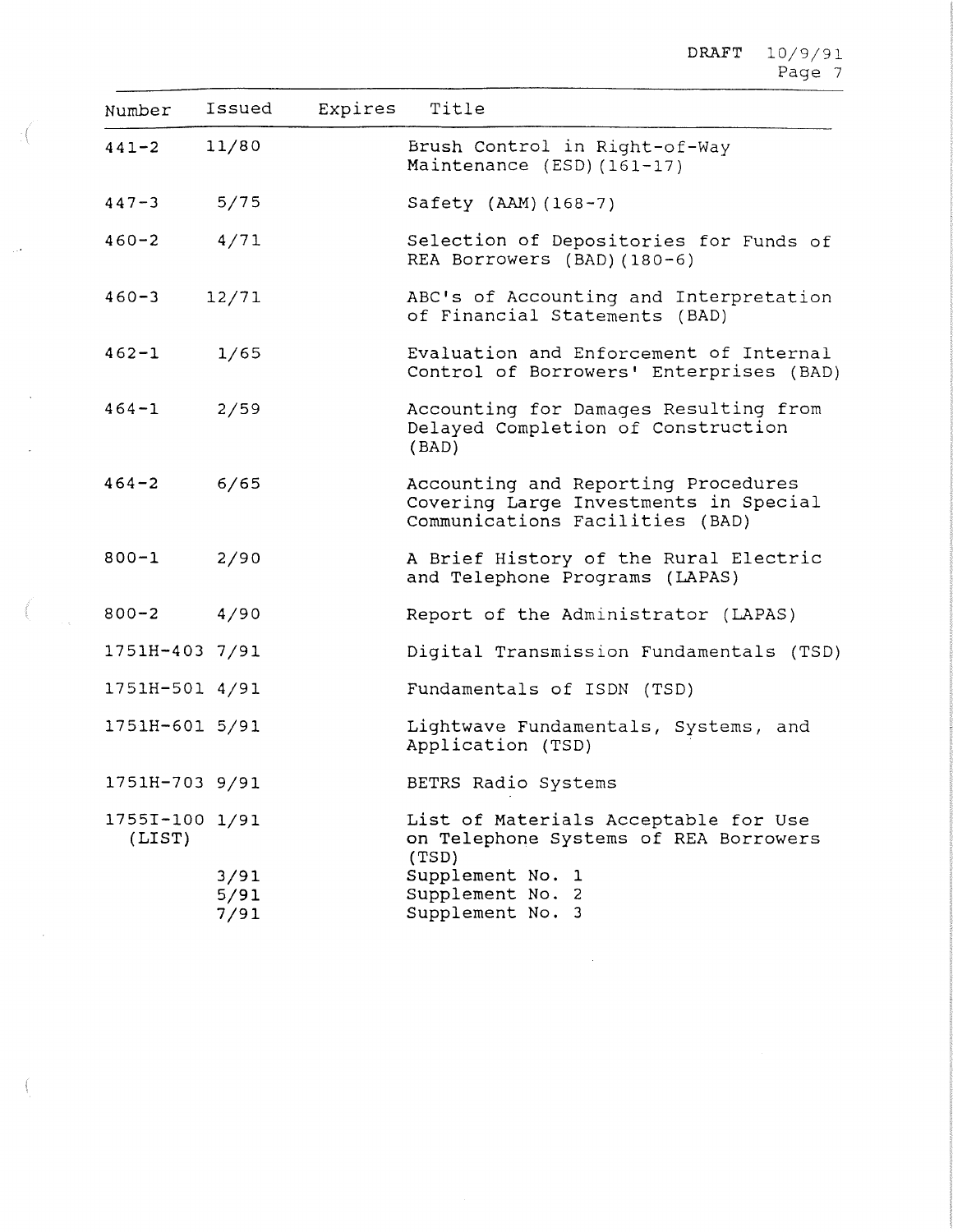$\texttt{DRAPT} = 10/9/9$ Page 7

| Number                   | Issued               | Expires | Title                                                                                                                                              |
|--------------------------|----------------------|---------|----------------------------------------------------------------------------------------------------------------------------------------------------|
| $441 - 2$                | 11/80                |         | Brush Control in Right-of-Way<br>Maintenance (ESD) (161-17)                                                                                        |
| $447 - 3$                | 5/75                 |         | Safety (AAM) (168-7)                                                                                                                               |
| $460 - 2$                | 4/71                 |         | Selection of Depositories for Funds of<br>REA Borrowers (BAD) (180-6)                                                                              |
| $460 - 3$                | 12/71                |         | ABC's of Accounting and Interpretation<br>of Financial Statements (BAD)                                                                            |
| $462 - 1$                | 1/65                 |         | Evaluation and Enforcement of Internal<br>Control of Borrowers' Enterprises (BAD)                                                                  |
| $464 - 1$                | 2/59                 |         | Accounting for Damages Resulting from<br>Delayed Completion of Construction<br>(BAD)                                                               |
| $464 - 2$                | 6/65                 |         | Accounting and Reporting Procedures<br>Covering Large Investments in Special<br>Communications Facilities (BAD)                                    |
| $800 - 1$                | 2/90                 |         | A Brief History of the Rural Electric<br>and Telephone Programs (LAPAS)                                                                            |
| $800 - 2$ 4/90           |                      |         | Report of the Administrator (LAPAS)                                                                                                                |
| 1751H-403 7/91           |                      |         | Digital Transmission Fundamentals (TSD)                                                                                                            |
| 1751H-501 4/91           |                      |         | Fundamentals of ISDN (TSD)                                                                                                                         |
| 1751H-601 5/91           |                      |         | Lightwave Fundamentals, Systems, and<br>Application (TSD)                                                                                          |
| 1751H-703 9/91           |                      |         | BETRS Radio Systems                                                                                                                                |
| 17551-100 1/91<br>(LIST) | 3/91<br>5/91<br>7/91 |         | List of Materials Acceptable for Use<br>on Telephone Systems of REA Borrowers<br>(TSD)<br>Supplement No. 1<br>Supplement No. 2<br>Supplement No. 3 |

 $\frac{1}{\sqrt{2}}$ 

 $\bar{\mathcal{A}}$ 

 $\sim$ 

 $\overline{\phantom{a}}$ 

 $\frac{1}{2} \sum_{i=1}^{n} \frac{1}{2} \sum_{j=1}^{n} \frac{1}{2} \sum_{j=1}^{n} \frac{1}{2} \sum_{j=1}^{n} \frac{1}{2} \sum_{j=1}^{n} \frac{1}{2} \sum_{j=1}^{n} \frac{1}{2} \sum_{j=1}^{n} \frac{1}{2} \sum_{j=1}^{n} \frac{1}{2} \sum_{j=1}^{n} \frac{1}{2} \sum_{j=1}^{n} \frac{1}{2} \sum_{j=1}^{n} \frac{1}{2} \sum_{j=1}^{n} \frac{1}{2} \sum_{j=1}^{n$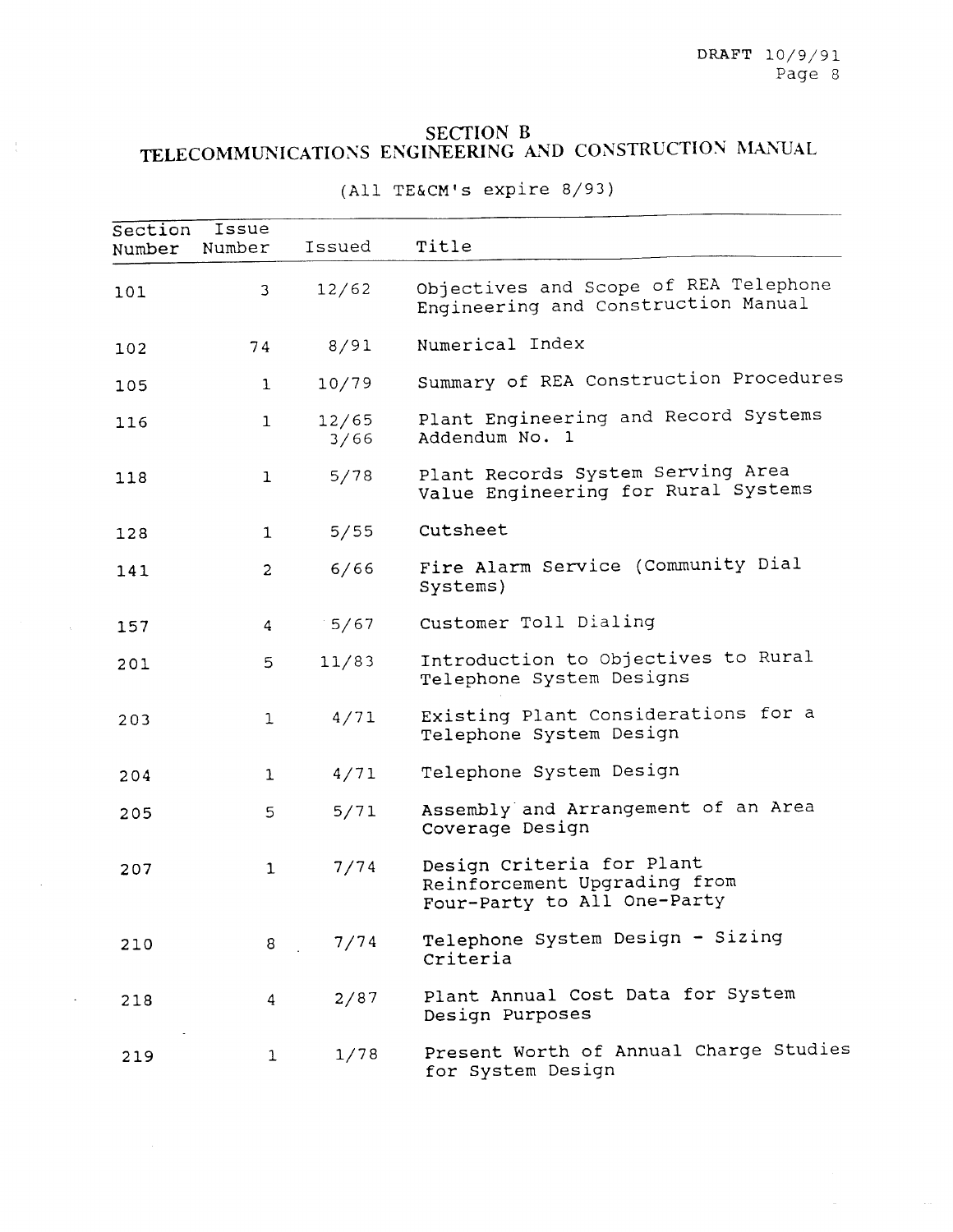## **SECTION B**

 $\frac{r}{r}$ 

# TELECOMMUNICATIONS ENGINEERING AND CONSTRUCTION MANUA

| Section<br>Number | Issue<br>Number         | Issued        | Title                                                                                    |
|-------------------|-------------------------|---------------|------------------------------------------------------------------------------------------|
| 101               | $\mathfrak{Z}$          | 12/62         | Objectives and Scope of REA Telephone<br>Engineering and Construction Manual             |
| 102               | 74                      | 8/91          | Numerical Index                                                                          |
| 105               | $\mathbf{1}$            | 10/79         | Summary of REA Construction Procedures                                                   |
| 116               | $\mathbf{1}$            | 12/65<br>3/66 | Plant Engineering and Record Systems<br>Addendum No. 1                                   |
| 118               | $\mathbf{1}$            | 5/78          | Plant Records System Serving Area<br>Value Engineering for Rural Systems                 |
| 128               | $\mathbf{1}$            | 5/55          | Cutsheet                                                                                 |
| 141               | $\overline{2}$          | 6/66          | Fire Alarm Service (Community Dial<br>Systems)                                           |
| 157               | $\overline{\mathbf{4}}$ | 5/67          | Customer Toll Dialing                                                                    |
| 201               | 5                       | 11/83         | Introduction to Objectives to Rural<br>Telephone System Designs                          |
| 203               | $\mathbf{1}$            | 4/71          | Existing Plant Considerations for a<br>Telephone System Design                           |
| 204               | $\mathbf{1}$            | 4/71          | Telephone System Design                                                                  |
| 205               | 5                       | 5/71          | Assembly and Arrangement of an Area<br>Coverage Design                                   |
| 207               | $\mathbf 1$             | 7/74          | Design Criteria for Plant<br>Reinforcement Upgrading from<br>Four-Party to All One-Party |
| 210               | 8                       | 7/74          | Telephone System Design - Sizing<br>Criteria                                             |
| 218               | 4                       | 2/87          | Plant Annual Cost Data for System<br>Design Purposes                                     |
| 219               | $\mathbf{1}$            | 1/78          | Present Worth of Annual Charge Studies<br>for System Design                              |

(All TE&CM's expire 8/93)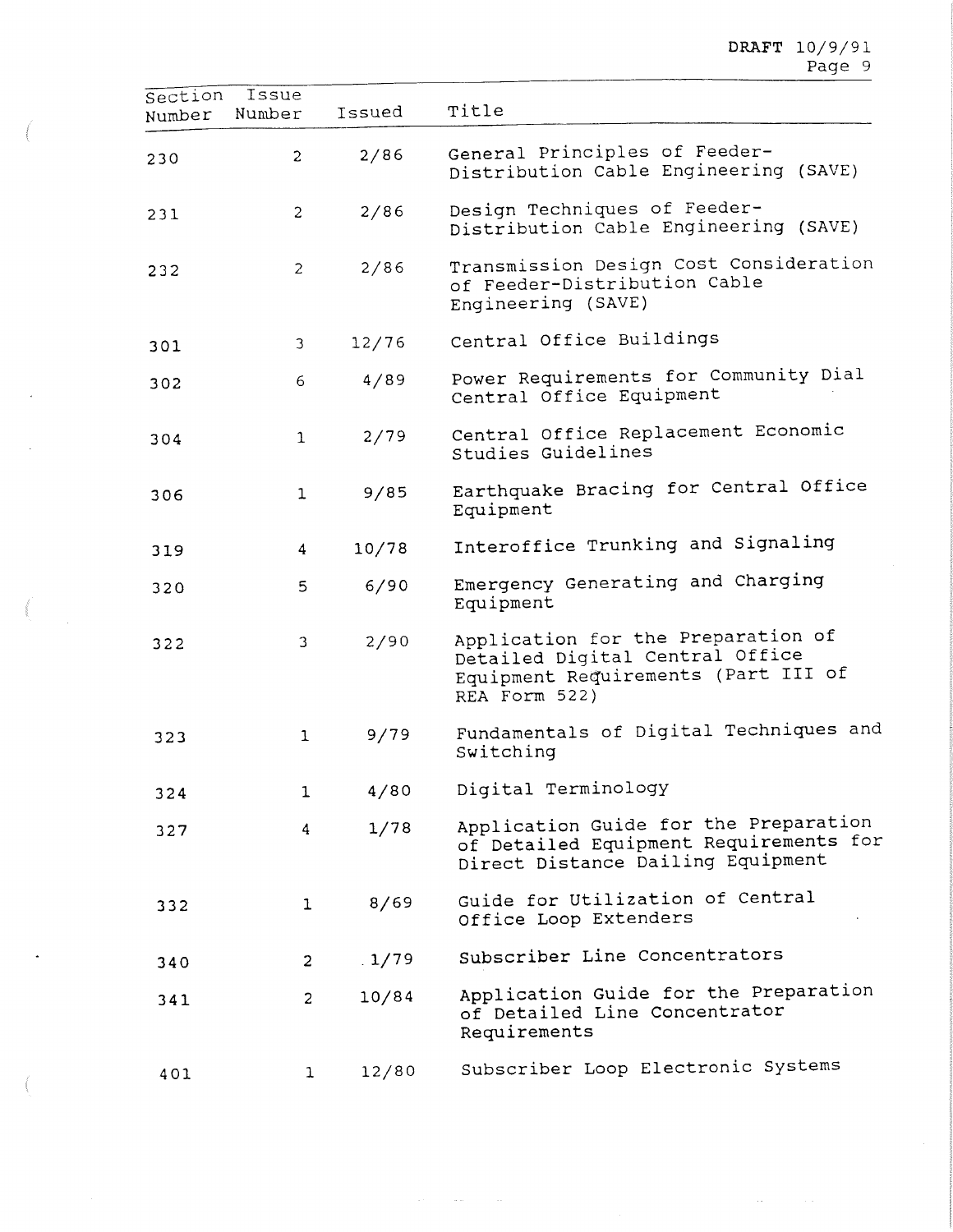$\ddot{\phantom{a}}$ 

| Section<br>Number | Issue<br>Number | Issued | Title                                                                                                                         |
|-------------------|-----------------|--------|-------------------------------------------------------------------------------------------------------------------------------|
| 230               | $\overline{c}$  | 2/86   | General Principles of Feeder-<br>Distribution Cable Engineering (SAVE)                                                        |
| 231               | $\overline{c}$  | 2/86   | Design Techniques of Feeder-<br>Distribution Cable Engineering (SAVE)                                                         |
| 232               | $\overline{2}$  | 2/86   | Transmission Design Cost Consideration<br>of Feeder-Distribution Cable<br>Engineering (SAVE)                                  |
| 301               | 3               | 12/76  | Central Office Buildings                                                                                                      |
| 302               | 6               | 4/89   | Power Requirements for Community Dial<br>Central Office Equipment                                                             |
| 304               | $\mathbf 1$     | 2/79   | Central Office Replacement Economic<br>Studies Guidelines                                                                     |
| 306               | $\mathbf{1}$    | 9/85   | Earthquake Bracing for Central Office<br>Equipment                                                                            |
| 319               | 4               | 10/78  | Interoffice Trunking and Signaling                                                                                            |
| 320               | 5               | 6/90   | Emergency Generating and Charging<br>Equipment                                                                                |
| 322               | 3               | 2/90   | Application for the Preparation of<br>Detailed Digital Central Office<br>Equipment Requirements (Part III of<br>REA Form 522) |
| 323               | 1               | 9/79   | Fundamentals of Digital Techniques and<br>Switching                                                                           |
| 324               | $\mathbf{1}$    | 4/80   | Digital Terminology                                                                                                           |
| 327               | 4               | 1/78   | Application Guide for the Preparation<br>of Detailed Equipment Requirements for<br>Direct Distance Dailing Equipment          |
| 332               | $\mathbf{1}$    | 8/69   | Guide for Utilization of Central<br>Office Loop Extenders                                                                     |
| 340               | $\overline{2}$  | .1/79  | Subscriber Line Concentrators                                                                                                 |
| 341               | $\overline{2}$  | 10/84  | Application Guide for the Preparation<br>of Detailed Line Concentrator<br>Requirements                                        |
| 401               | $\mathbf{1}$    | 12/80  | Subscriber Loop Electronic Systems                                                                                            |

 $\mathcal{A}(\mathcal{A})$  and  $\mathcal{A}(\mathcal{A})$  and  $\mathcal{A}(\mathcal{A})$ 

 $\label{eq:1} \frac{1}{\sqrt{2\pi}}\int_{0}^{\pi} \left(\frac{1}{\sqrt{2\pi}}\right)^{2\pi} \left(\frac{1}{\sqrt{2\pi}}\right)^{2\pi} \left(\frac{1}{\sqrt{2\pi}}\right)^{2\pi} \left(\frac{1}{\sqrt{2\pi}}\right)^{2\pi} \left(\frac{1}{\sqrt{2\pi}}\right)^{2\pi} \left(\frac{1}{\sqrt{2\pi}}\right)^{2\pi} \left(\frac{1}{\sqrt{2\pi}}\right)^{2\pi} \left(\frac{1}{\sqrt{2\pi}}\right)^{2\pi} \left(\frac{1}{\sqrt{2\pi}}\right$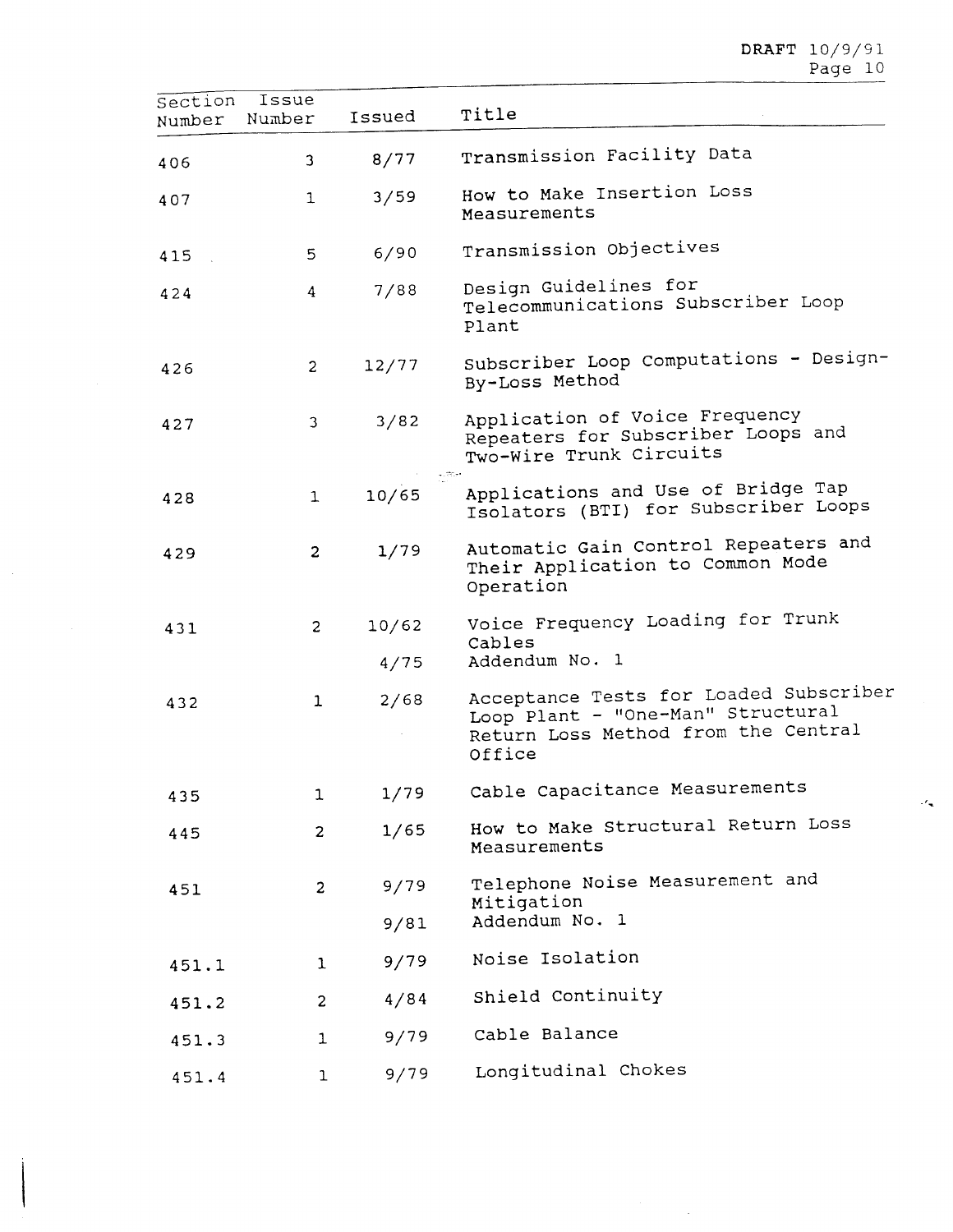| Section<br>Number | Issue<br>Number | Issued | Title                                                                                                                        |
|-------------------|-----------------|--------|------------------------------------------------------------------------------------------------------------------------------|
| 406               | 3               | 8/77   | Transmission Facility Data                                                                                                   |
| 407               | 1               | 3/59   | How to Make Insertion Loss<br>Measurements                                                                                   |
| 415               | 5               | 6/90   | Transmission Objectives                                                                                                      |
| 424               | 4               | 7/88   | Design Guidelines for<br>Telecommunications Subscriber Loop<br>Plant                                                         |
| 426               | $\overline{c}$  | 12/77  | Subscriber Loop Computations - Design-<br>By-Loss Method                                                                     |
| 427               | 3               | 3/82   | Application of Voice Frequency<br>Repeaters for Subscriber Loops and<br>Two-Wire Trunk Circuits                              |
| 428               | $\mathbf{1}$    | 10/65  | $4.777 + 4.002$<br>Applications and Use of Bridge Tap<br>Isolators (BTI) for Subscriber Loops                                |
| 429               | 2               | 1/79   | Automatic Gain Control Repeaters and<br>Their Application to Common Mode<br>Operation                                        |
| 431               | $\overline{c}$  | 10/62  | Voice Frequency Loading for Trunk                                                                                            |
|                   |                 | 4/75   | Cables<br>Addendum No. 1                                                                                                     |
| 432               | $\mathbf{1}$    | 2/68   | Acceptance Tests for Loaded Subscriber<br>Loop Plant - "One-Man" Structural<br>Return Loss Method from the Central<br>Office |
| 435               | 1               | 1/79   | Cable Capacitance Measurements                                                                                               |
| 445               | $\overline{c}$  | 1/65   | How to Make Structural Return Loss<br>Measurements                                                                           |
| 451               | 2               | 9/79   | Telephone Noise Measurement and<br>Mitigation                                                                                |
|                   |                 | 9/81   | Addendum No. 1                                                                                                               |
| 451.1             | $\mathbf{1}$    | 9/79   | Noise Isolation                                                                                                              |
| 451.2             | $\overline{2}$  | 4/84   | Shield Continuity                                                                                                            |
| 451.3             | $\mathbf{1}$    | 9/79   | Cable Balance                                                                                                                |
| 451.4             | $\mathbf{1}$    | 9/79   | Longitudinal Chokes                                                                                                          |

 $\sim$ 

 $\bar{\beta}$ 

 $\mathcal{A}_{\mathbf{w}}$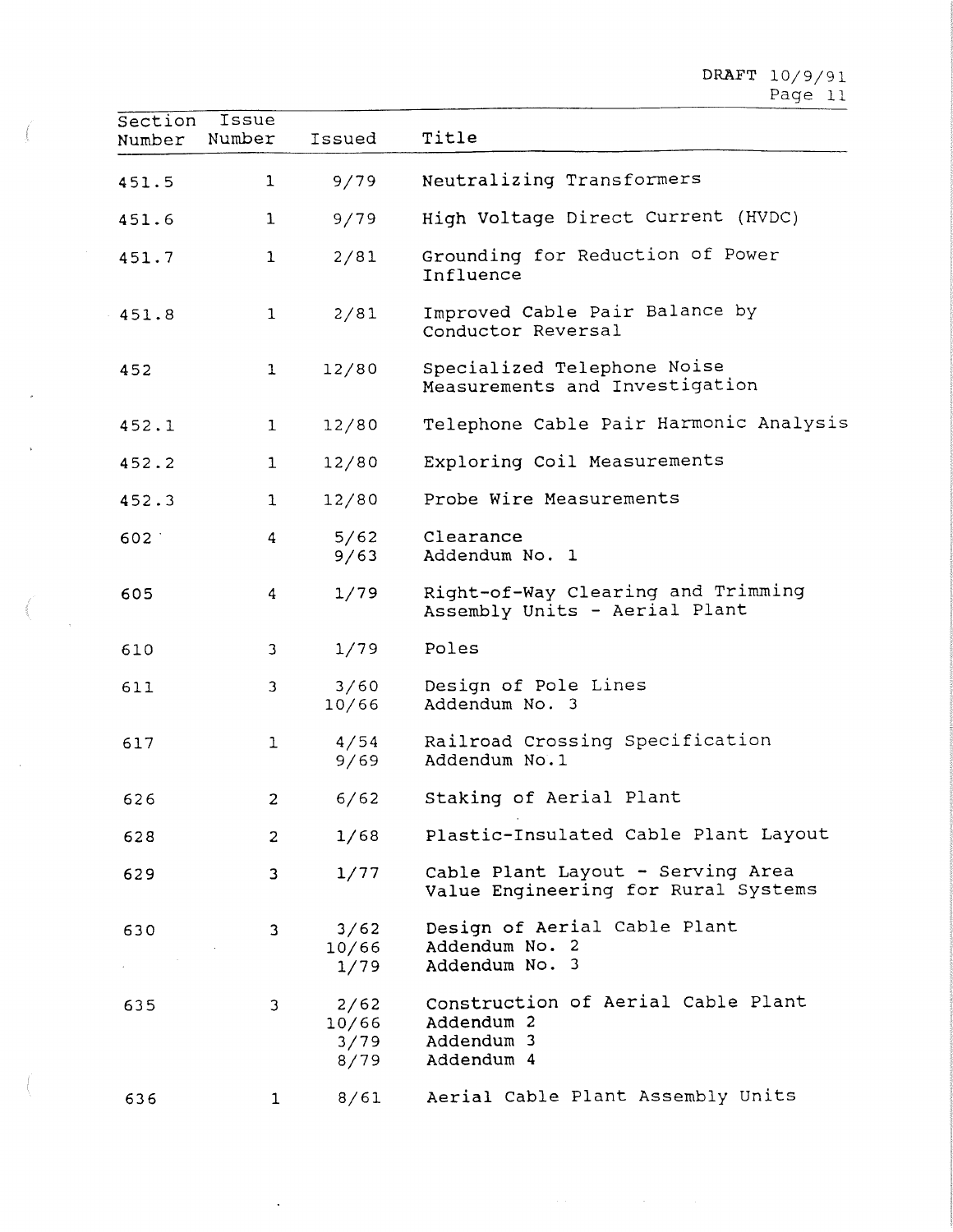| Section<br>Number | Issue<br>Number | Issued                        | Title                                                                        |
|-------------------|-----------------|-------------------------------|------------------------------------------------------------------------------|
| 451.5             | $\mathbf{1}$    | 9/79                          | Neutralizing Transformers                                                    |
| 451.6             | 1               | 9/79                          | High Voltage Direct Current (HVDC)                                           |
| 451.7             | 1               | 2/81                          | Grounding for Reduction of Power<br>Influence                                |
| 451.8             | $\mathbf{1}$    | 2/81                          | Improved Cable Pair Balance by<br>Conductor Reversal                         |
| 452               | 1               | 12/80                         | Specialized Telephone Noise<br>Measurements and Investigation                |
| 452.1             | 1               | 12/80                         | Telephone Cable Pair Harmonic Analysis                                       |
| 452.2             | 1               | 12/80                         | Exploring Coil Measurements                                                  |
| 452.3             | $\mathbf 1$     | 12/80                         | Probe Wire Measurements                                                      |
| 602               | 4               | 5/62<br>9/63                  | Clearance<br>Addendum No. 1                                                  |
| 605               | 4               | 1/79                          | Right-of-Way Clearing and Trimming<br>Assembly Units - Aerial Plant          |
| 610               | 3               | 1/79                          | Poles                                                                        |
| 611               | 3               | 3/60<br>10/66                 | Design of Pole Lines<br>Addendum No. 3                                       |
| 617               | $\mathbf{1}$    | 4/54<br>9/69                  | Railroad Crossing Specification<br>Addendum No.1                             |
| 626               | 2               | 6/62                          | Staking of Aerial Plant                                                      |
| 628               | $\overline{2}$  | 1/68                          | Plastic-Insulated Cable Plant Layout                                         |
| 629               | 3               | 1/77                          | Cable Plant Layout - Serving Area<br>Value Engineering for Rural Systems     |
| 630               | 3               | 3/62<br>10/66<br>1/79         | Design of Aerial Cable Plant<br>Addendum No. 2<br>Addendum No. 3             |
| 635               | 3               | 2/62<br>10/66<br>3/79<br>8/79 | Construction of Aerial Cable Plant<br>Addendum 2<br>Addendum 3<br>Addendum 4 |
| 636               | 1               | 8/61                          | Aerial Cable Plant Assembly Units                                            |

 $\Box$ 

 $\overline{\mathcal{M}}$ 

 $\bar{z}$ 

 $\frac{1}{\sqrt{2}}$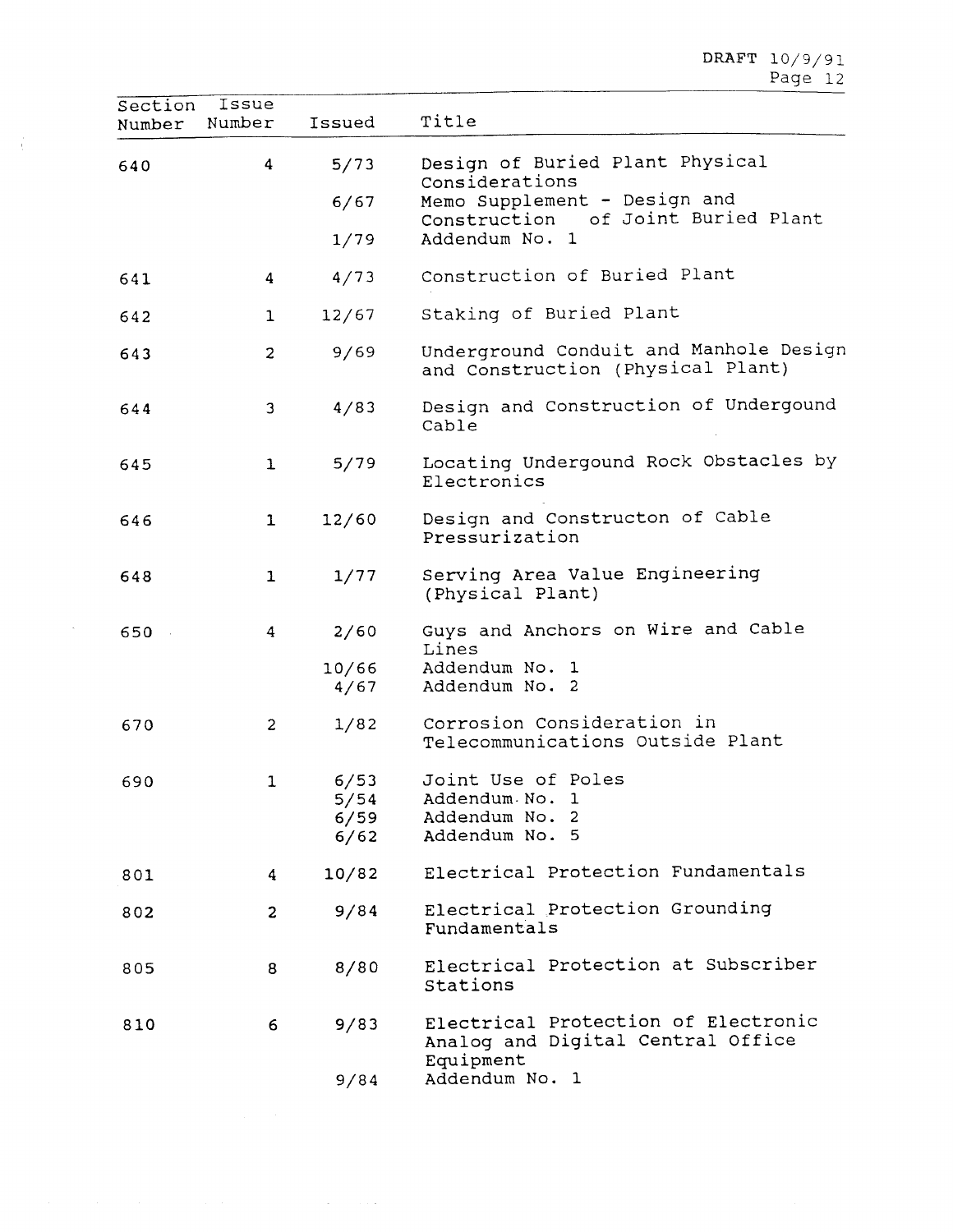$\mathtt{DRAPT\_10/9/9}$ Page 12

| Section<br>Number | Issue<br>Number | Issued                       | Title                                                                                 |
|-------------------|-----------------|------------------------------|---------------------------------------------------------------------------------------|
| 640               | 4               | 5/73                         | Design of Buried Plant Physical<br>Considerations                                     |
|                   |                 | 6/67                         | Memo Supplement - Design and<br>Construction of Joint Buried Plant                    |
|                   |                 | 1/79                         | Addendum No. 1                                                                        |
| 641               | 4               | 4/73                         | Construction of Buried Plant                                                          |
| 642               | 1               | 12/67                        | Staking of Buried Plant                                                               |
| 643               | $\overline{c}$  | 9/69                         | Underground Conduit and Manhole Design<br>and Construction (Physical Plant)           |
| 644               | 3               | 4/83                         | Design and Construction of Undergound<br>Cable                                        |
| 645               | $\mathbf{1}$    | 5/79                         | Locating Undergound Rock Obstacles by<br>Electronics                                  |
| 646               | $\mathbf{1}$    | 12/60                        | Design and Constructon of Cable<br>Pressurization                                     |
| 648               | $\mathbf{1}$    | 1/77                         | Serving Area Value Engineering<br>(Physical Plant)                                    |
| 650               | 4               | 2/60                         | Guys and Anchors on Wire and Cable<br>Lines                                           |
|                   |                 | 10/66<br>4/67                | Addendum No. 1<br>Addendum No. 2                                                      |
| 670               | $\overline{c}$  | 1/82                         | Corrosion Consideration in<br>Telecommunications Outside Plant                        |
| 690               | 1               | 6/53<br>5/54<br>6/59<br>6/62 | Joint Use of Poles<br>Addendum No. 1<br>Addendum No. 2<br>Addendum No. 5              |
| 801               | 4               | 10/82                        | Electrical Protection Fundamentals                                                    |
| 802               | $\overline{c}$  | 9/84                         | Electrical Protection Grounding<br>Fundamentals                                       |
| 805               | 8               | 8/80                         | Electrical Protection at Subscriber<br>Stations                                       |
| 810               | 6               | 9/83                         | Electrical Protection of Electronic<br>Analog and Digital Central Office<br>Equipment |
|                   |                 | 9/84                         | Addendum No. 1                                                                        |

 $\mathcal{L}^{\text{max}}_{\text{max}}$  , where  $\mathcal{L}^{\text{max}}_{\text{max}}$ 

 $\frac{1}{3}$ 

 $\mathcal{A}^{\mathcal{A}}$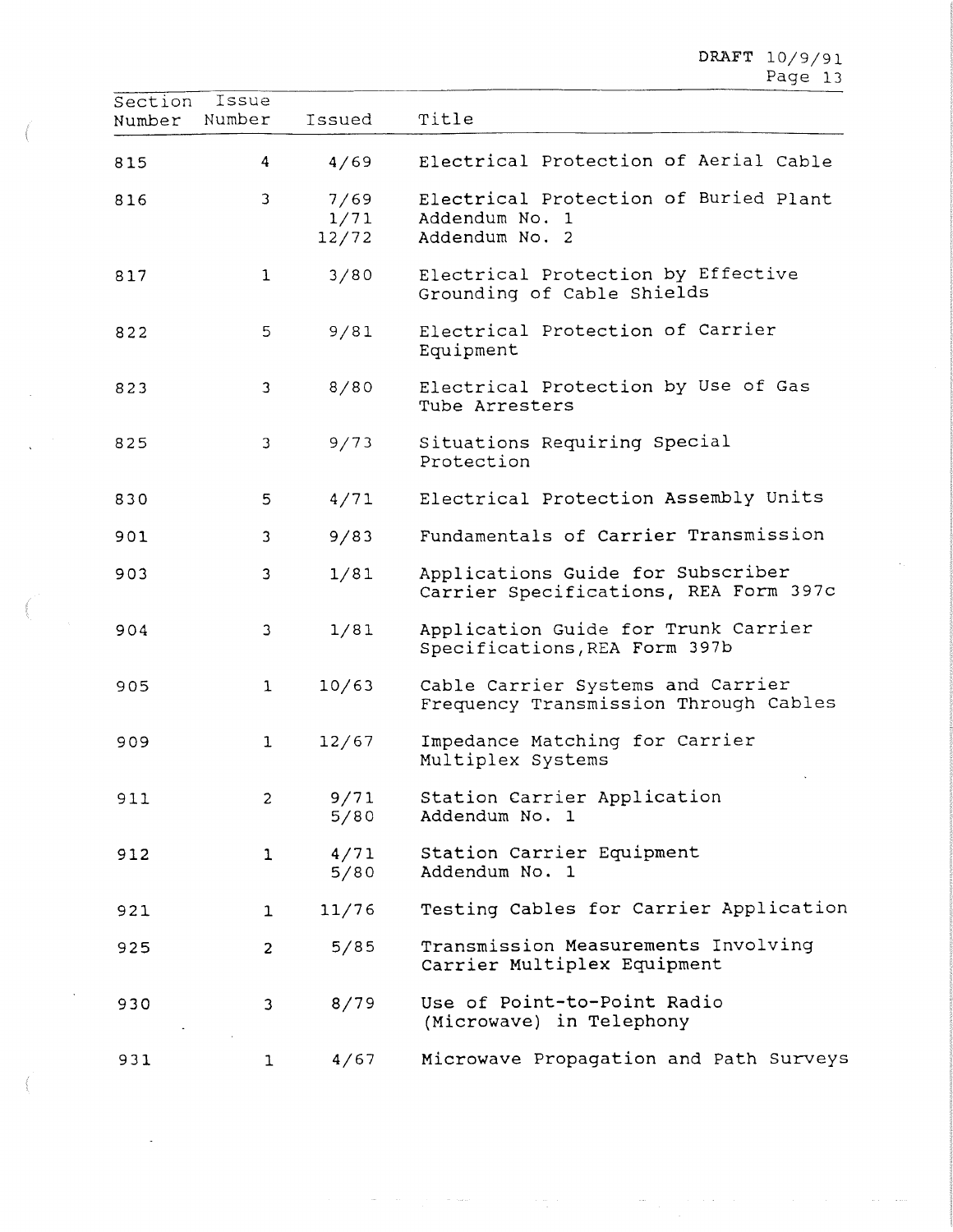| Section<br>Number | Issue<br>Number | Issued                | Title                                                                      |
|-------------------|-----------------|-----------------------|----------------------------------------------------------------------------|
| 815               | 4               | 4/69                  | Electrical Protection of Aerial Cable                                      |
| 816               | 3               | 7/69<br>1/71<br>12/72 | Electrical Protection of Buried Plant<br>Addendum No. 1<br>Addendum No. 2  |
| 817               | $\mathbf{1}$    | 3/80                  | Electrical Protection by Effective<br>Grounding of Cable Shields           |
| 822               | 5               | 9/81                  | Electrical Protection of Carrier<br>Equipment                              |
| 823               | 3               | 8/80                  | Electrical Protection by Use of Gas<br>Tube Arresters                      |
| 825               | 3               | 9/73                  | Situations Requiring Special<br>Protection                                 |
| 830               | 5               | 4/71                  | Electrical Protection Assembly Units                                       |
| 901               | 3               | 9/83                  | Fundamentals of Carrier Transmission                                       |
| 903               | 3               | 1/81                  | Applications Guide for Subscriber<br>Carrier Specifications, REA Form 397c |
| 904               | 3               | 1/81                  | Application Guide for Trunk Carrier<br>Specifications, REA Form 397b       |
| 905               | $\mathbf{1}$    | 10/63                 | Cable Carrier Systems and Carrier<br>Frequency Transmission Through Cables |
| 909               | $\mathbf{1}$    | 12/67                 | Impedance Matching for Carrier<br>Multiplex Systems                        |
| 911               | 2               | 9/71<br>5/80          | Station Carrier Application<br>Addendum No. 1                              |
| 912               | 1               | 4/71<br>5/80          | Station Carrier Equipment<br>Addendum No. 1                                |
| 921               | $\mathbf{1}$    | 11/76                 | Testing Cables for Carrier Application                                     |
| 925               | $\overline{c}$  | 5/85                  | Transmission Measurements Involving<br>Carrier Multiplex Equipment         |
| 930               | 3               | 8/79                  | Use of Point-to-Point Radio<br>(Microwave) in Telephony                    |
| 931               | 1               | 4/67                  | Microwave Propagation and Path Surveys                                     |

 $\sim$ 

 $\omega$  -solution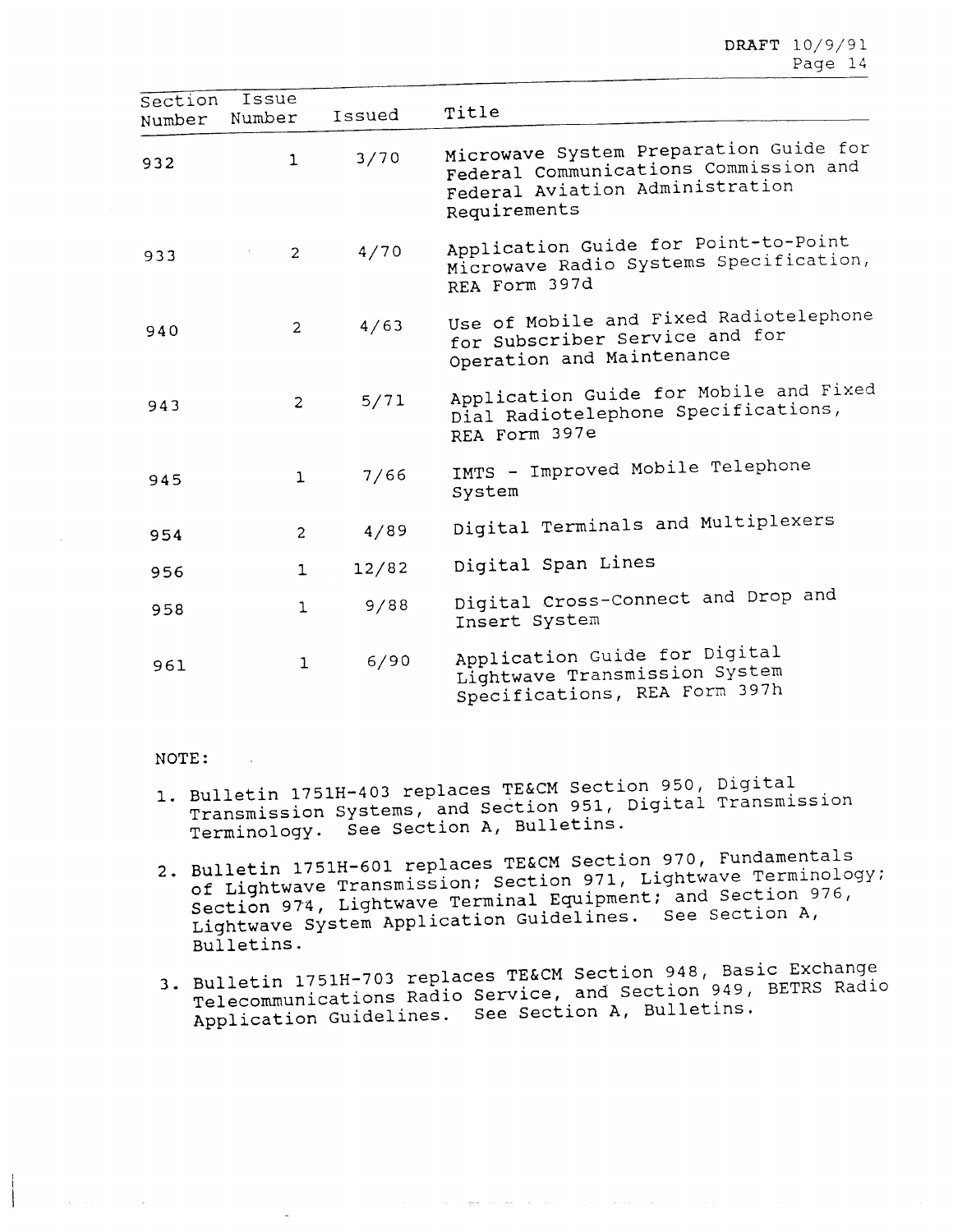| Section<br>Number | Issue<br>Number | Issued | Title                                                                                                                              |
|-------------------|-----------------|--------|------------------------------------------------------------------------------------------------------------------------------------|
| 932               | $\mathbf{1}$    | $3/70$ | Microwave System Preparation Guide for<br>Federal Communications Commission and<br>Federal Aviation Administration<br>Requirements |
| 933               | $\overline{2}$  | 4/70   | Application Guide for Point-to-Point<br>Microwave Radio Systems Specification,<br>REA Form 397d                                    |
| 940               | $\overline{2}$  | 4/63   | Use of Mobile and Fixed Radiotelephone<br>for Subscriber Service and for<br>Operation and Maintenance                              |
| 943               | $\overline{c}$  | 5/71   | Application Guide for Mobile and Fixed<br>Dial Radiotelephone Specifications,<br>REA Form 397e                                     |
| 945               | 1               | 7/66   | IMTS - Improved Mobile Telephone<br>System                                                                                         |
| 954               | $\overline{c}$  | 4/89   | Digital Terminals and Multiplexers                                                                                                 |
| 956               | $\mathbf 1$     | 12/82  | Digital Span Lines                                                                                                                 |
| 958               | $\mathbf{1}$    | 9/88   | Digital Cross-Connect and Drop and<br>Insert System                                                                                |
| 961               | $\mathbf 1$     | 6/90   | Application Guide for Digital<br>Lightwave Transmission System<br>Specifications, REA Form 397h                                    |

#### NOTE:

- 1. Bulletin 1751H-403 replaces TE&CM Section 950, Digital Transmission Systems, and Section 951, Digital Transmission Terminology. See Section **A,** Bulletins.
- 2. Bulletin 1751H-601 replaces TE&CM Section 970, Fundamentals of Lightwave Transmission; Section 971, Lightwave Terminology; Section 974, Lightwave Terminal Equipment; and Section 976, Lightwave System Application Guidelines. See Section A, Bulletins.
- 3. Bulletin 1751H-703 replaces TE&CM Section 948, Basic Exchange Telecommunications Radio Service, and Section 949, BETRS Radio Application Guidelines. See Section A, Bulletins.

 $\mathcal{A}(\mathbf{r})$  , and an expectation of the set of the set of the set of the set of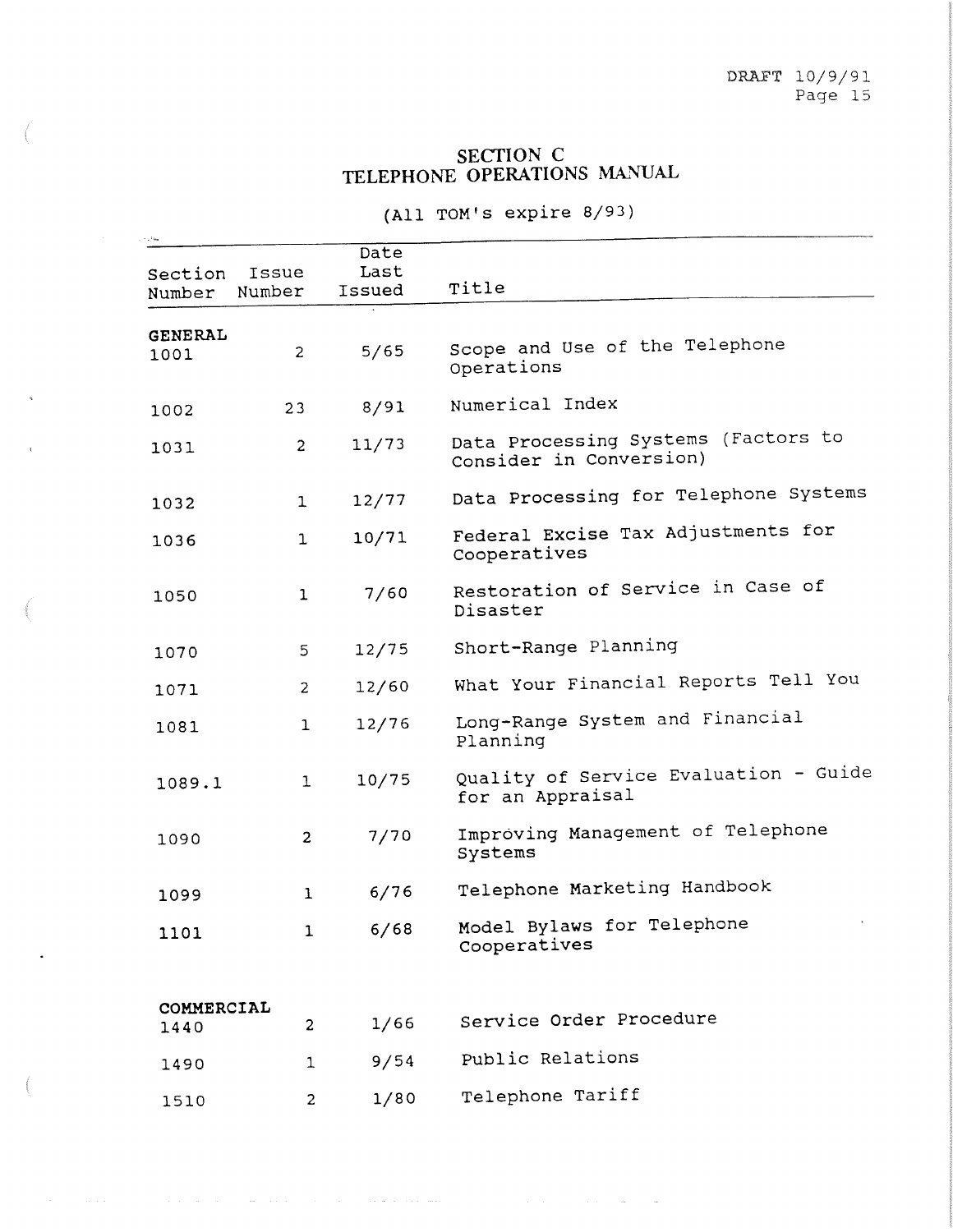## SECTION C TELEPHONE OPERATIONS MANUAL

(All TOM's expire 8/93)

| Section<br>Number      | Issue<br>Number | Date<br>Last<br>Issued | Title                                                          |
|------------------------|-----------------|------------------------|----------------------------------------------------------------|
|                        |                 |                        |                                                                |
| <b>GENERAL</b><br>1001 | $\overline{c}$  | 5/65                   | Scope and Use of the Telephone<br>Operations                   |
| 1002                   | 23              | 8/91                   | Numerical Index                                                |
| 1031                   | $\overline{c}$  | 11/73                  | Data Processing Systems (Factors to<br>Consider in Conversion) |
| 1032                   | $\mathbf{1}$    | 12/77                  | Data Processing for Telephone Systems                          |
| 1036                   | $\mathbf{1}$    | 10/71                  | Federal Excise Tax Adjustments for<br>Cooperatives             |
| 1050                   | $\mathbf 1$     | 7/60                   | Restoration of Service in Case of<br>Disaster                  |
| 1070                   | 5               | 12/75                  | Short-Range Planning                                           |
| 1071                   | $\overline{c}$  | 12/60                  | What Your Financial Reports Tell You                           |
| 1081                   | 1               | 12/76                  | Long-Range System and Financial<br>Planning                    |
| 1089.1                 | 1               | 10/75                  | Quality of Service Evaluation - Guide<br>for an Appraisal      |
| 1090                   | $\overline{2}$  | 7/70                   | Improving Management of Telephone<br>Systems                   |
| 1099                   | 1               | 6/76                   | Telephone Marketing Handbook                                   |
| 1101                   | $\mathbf{1}$    | 6/68                   | Model Bylaws for Telephone<br>Cooperatives                     |
| COMMERCIAL             |                 | 1/66                   | Service Order Procedure                                        |
| 1440                   | 2               |                        |                                                                |
| 1490                   | $\mathbf{1}$    | 9/54                   | Public Relations                                               |
| 1510                   | $\overline{c}$  | 1/80                   | Telephone Tariff                                               |

 $\mathcal{A}^{\mathcal{A}}$  , where  $\mathcal{A}^{\mathcal{A}}$  is the contribution of  $\mathcal{A}^{\mathcal{A}}$ 

 $\sim$ 

 $\hat{f}$  , and the same properties of the set of the same properties of the same properties of  $\hat{f}$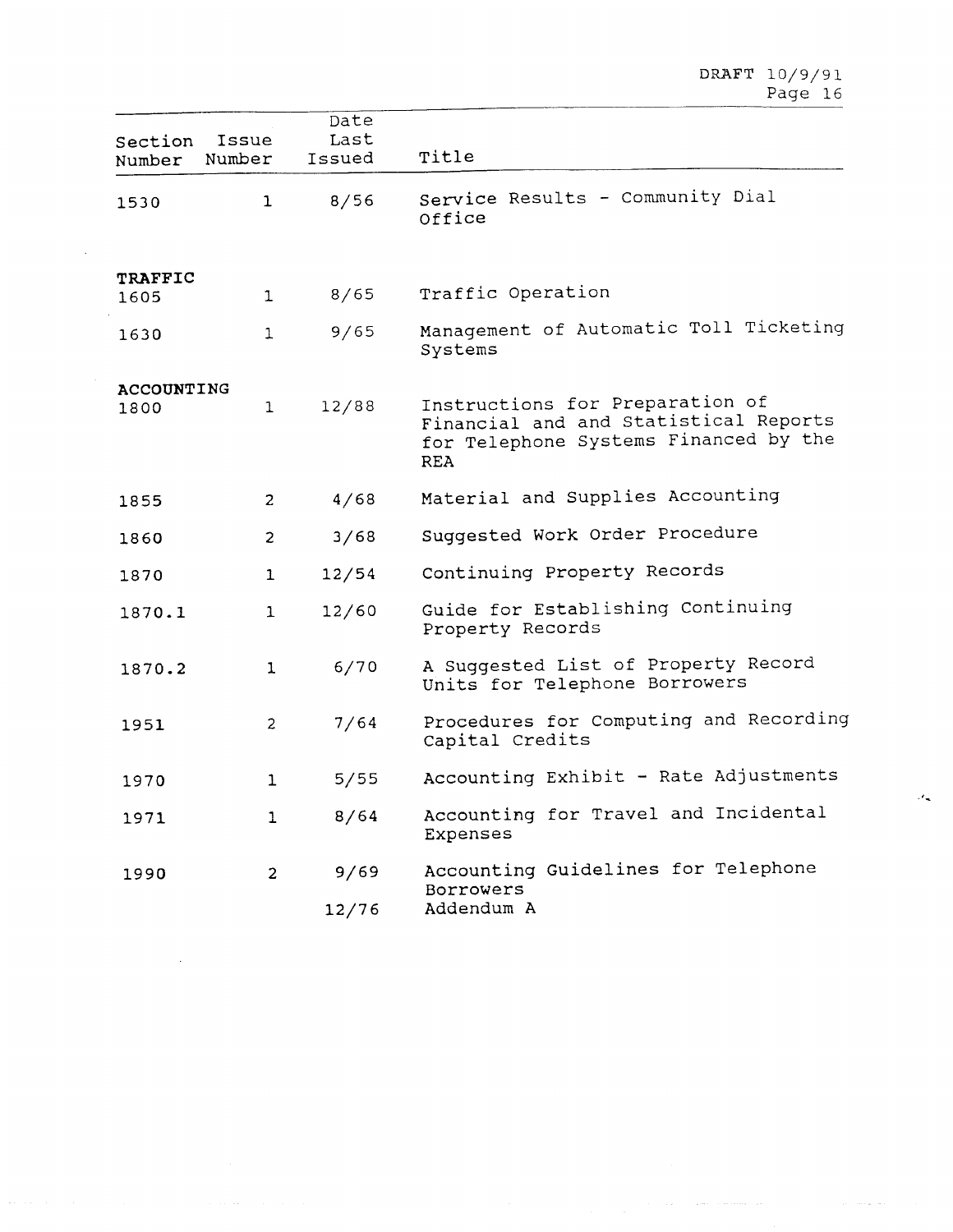$\alpha_{\rm{eff}}$  , and  $\beta_{\rm{eff}}$  , and  $\beta_{\rm{eff}}$  , where  $\beta_{\rm{eff}}$ 

| Issue<br>Section<br>Number<br>Number | Date<br>Last<br>Issued | Title                                                                                                                           |
|--------------------------------------|------------------------|---------------------------------------------------------------------------------------------------------------------------------|
| 1530                                 | 8/56<br>$\mathbf{1}$   | Service Results - Community Dial<br>Office                                                                                      |
| <b>TRAFFIC</b>                       |                        |                                                                                                                                 |
| 1605                                 | 8/65<br>$\mathbf{1}$   | Traffic Operation                                                                                                               |
| 1630                                 | 9/65<br>$\mathbf{1}$   | Management of Automatic Toll Ticketing<br>Systems                                                                               |
| ACCOUNTING                           |                        |                                                                                                                                 |
| 1800                                 | 12/88<br>$\mathbf{1}$  | Instructions for Preparation of<br>Financial and and Statistical Reports<br>for Telephone Systems Financed by the<br><b>REA</b> |
| 1855                                 | 4/68<br>$\overline{2}$ | Material and Supplies Accounting                                                                                                |
| 1860                                 | 3/68<br>$\overline{2}$ | Suggested Work Order Procedure                                                                                                  |
| 1870                                 | 12/54<br>$\mathbf{1}$  | Continuing Property Records                                                                                                     |
| 1870.1                               | 12/60<br>$\mathbf{1}$  | Guide for Establishing Continuing<br>Property Records                                                                           |
| 1870.2                               | 6/70<br>$\mathbf{1}$   | A Suggested List of Property Record<br>Units for Telephone Borrowers                                                            |
| 1951                                 | 7/64<br>$\overline{2}$ | Procedures for Computing and Recording<br>Capital Credits                                                                       |
| 1970                                 | 5/55<br>$\mathbf{1}$   | Accounting Exhibit - Rate Adjustments                                                                                           |
| 1971                                 | 8/64<br>$\mathbf{1}$   | Accounting for Travel and Incidental<br>Expenses                                                                                |
| 1990                                 | 9/69<br>$\overline{2}$ | Accounting Guidelines for Telephone<br><b>Borrowers</b>                                                                         |
|                                      | 12/76                  | Addendum A                                                                                                                      |

 $\bar{.}$ 

 $\sim$ 

 $\gamma_{\rm{max}} = 2.5 \times 10^{11}$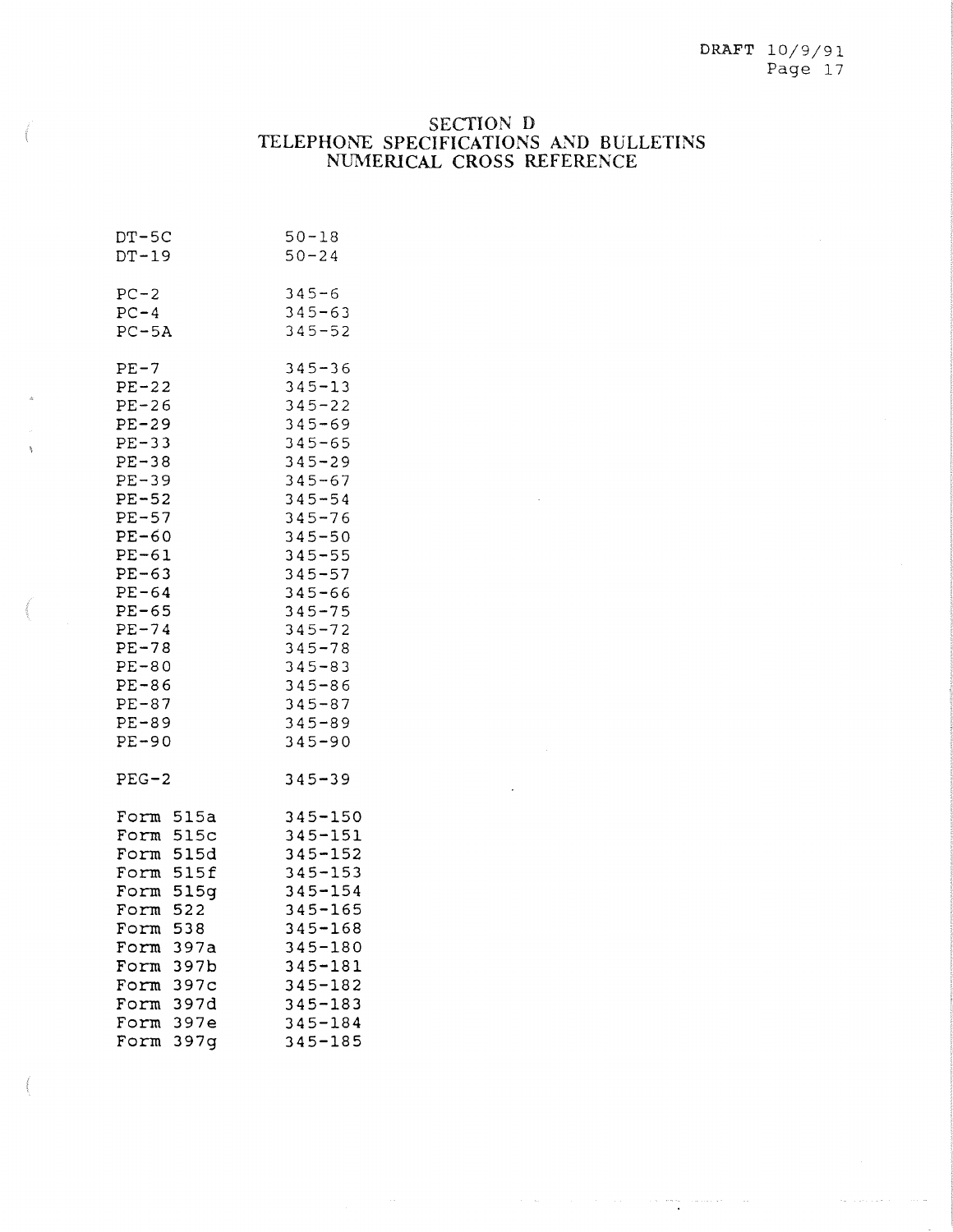## SECTION D TELEPHONE SPECIFICATIONS AND BULLETINS NUMERICAL CROSS REFERENCE

 $\label{eq:R1} \mathcal{A} = \mathcal{A} \mathcal{A} + \mathcal{A} \mathcal{A} + \mathcal{A} \mathcal{A} + \mathcal{A} \mathcal{A} + \mathcal{A} \mathcal{A} + \mathcal{A} \mathcal{A} + \mathcal{A} \mathcal{A} + \mathcal{A} \mathcal{A} + \mathcal{A} \mathcal{A} + \mathcal{A} \mathcal{A} + \mathcal{A} \mathcal{A} + \mathcal{A} \mathcal{A} + \mathcal{A} \mathcal{A} + \mathcal{A} \mathcal{A} + \mathcal{A} \mathcal{A} + \mathcal{A} \mathcal{$ 

| $DT-5C$                                                                                                                                                                                  | $50 - 18$                                                                                                                                                               |
|------------------------------------------------------------------------------------------------------------------------------------------------------------------------------------------|-------------------------------------------------------------------------------------------------------------------------------------------------------------------------|
| $DT-19$                                                                                                                                                                                  | $50 - 24$                                                                                                                                                               |
| $PC-2$                                                                                                                                                                                   | $345 - 6$                                                                                                                                                               |
| $PC-4$                                                                                                                                                                                   | $345 - 63$                                                                                                                                                              |
| $PC-5A$                                                                                                                                                                                  | $345 - 52$                                                                                                                                                              |
| $PE-7$                                                                                                                                                                                   | $345 - 36$                                                                                                                                                              |
| $PE-22$                                                                                                                                                                                  | $345 - 13$                                                                                                                                                              |
| $PE-26$                                                                                                                                                                                  | $345 - 22$                                                                                                                                                              |
| $PE-29$                                                                                                                                                                                  | $345 - 69$                                                                                                                                                              |
| $PE-33$                                                                                                                                                                                  | $345 - 65$                                                                                                                                                              |
| $PE-38$                                                                                                                                                                                  | $345 - 29$                                                                                                                                                              |
| $PE-39$                                                                                                                                                                                  | $345 - 67$                                                                                                                                                              |
| $PE-52$                                                                                                                                                                                  | $345 - 54$                                                                                                                                                              |
| $PE-57$                                                                                                                                                                                  | $345 - 76$                                                                                                                                                              |
| $PE-60$                                                                                                                                                                                  | $345 - 50$                                                                                                                                                              |
| $PE-61$                                                                                                                                                                                  | $345 - 55$                                                                                                                                                              |
| $PE-63$                                                                                                                                                                                  | $345 - 57$                                                                                                                                                              |
| $PE-64$                                                                                                                                                                                  | $345 - 66$                                                                                                                                                              |
| $PE-65$                                                                                                                                                                                  | $345 - 75$                                                                                                                                                              |
| $PE-74$                                                                                                                                                                                  | $345 - 72$                                                                                                                                                              |
| $PE-78$                                                                                                                                                                                  | $345 - 78$                                                                                                                                                              |
| $PE-80$                                                                                                                                                                                  | $345 - 83$                                                                                                                                                              |
| $PE-86$                                                                                                                                                                                  | $345 - 86$                                                                                                                                                              |
| $PE-87$                                                                                                                                                                                  | $345 - 87$                                                                                                                                                              |
| $PE-89$                                                                                                                                                                                  | $345 - 89$                                                                                                                                                              |
| $PE-90$                                                                                                                                                                                  | $345 - 90$                                                                                                                                                              |
| $PEG-2$                                                                                                                                                                                  | $345 - 39$                                                                                                                                                              |
| Form 515a<br>Form 515c<br>Form 515d<br>Form 515f<br>Form 515g<br>Form 522<br>538<br>Form<br>397a<br>Form<br>397b<br>Form<br>397c<br>Form<br>397d<br>Form<br>397e<br>Form<br>Form<br>397g | 345-150<br>$345 - 151$<br>$345 - 152$<br>$345 - 153$<br>$345 - 154$<br>$345 - 165$<br>$345 - 168$<br>345-180<br>345-181<br>345-182<br>345-183<br>$345 - 184$<br>345-185 |